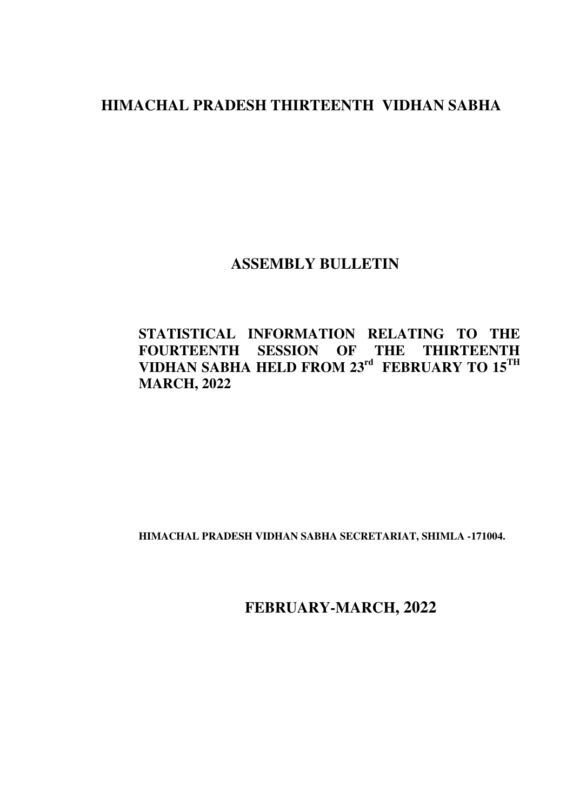# **HIMACHAL PRADESH THIRTEENTH VIDHAN SABHA**

## **ASSEMBLY BULLETIN**

### **STATISTICAL INFORMATION RELATING TO THE FOURTEENTH SESSION OF THE THIRTEENTH VIDHAN SABHA HELD FROM 23rd FEBRUARY TO 15TH MARCH, 2022**

**HIMACHAL PRADESH VIDHAN SABHA SECRETARIAT, SHIMLA -171004.** 

 **FEBRUARY-MARCH, 2022**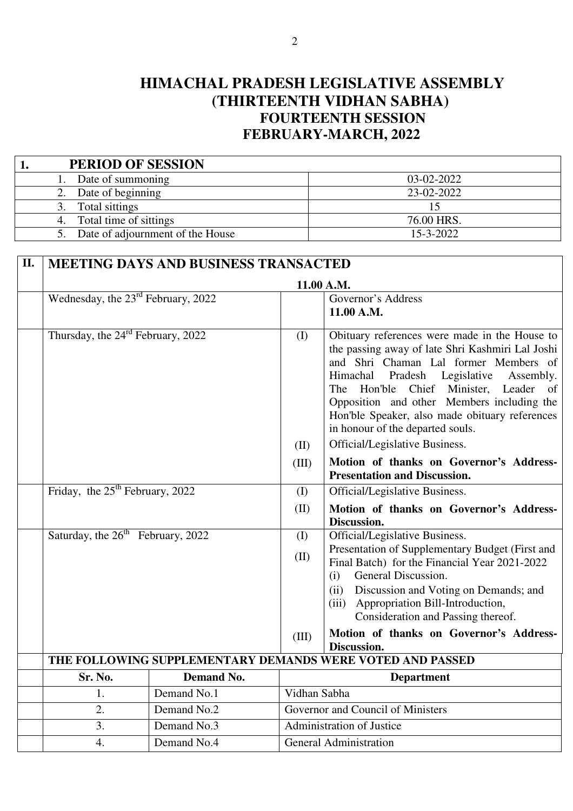# **HIMACHAL PRADESH LEGISLATIVE ASSEMBLY (THIRTEENTH VIDHAN SABHA) FOURTEENTH SESSION FEBRUARY-MARCH, 2022**

| <b>PERIOD OF SESSION</b>         |                 |
|----------------------------------|-----------------|
| Date of summoning                | 03-02-2022      |
| Date of beginning                | 23-02-2022      |
| Total sittings                   |                 |
| Total time of sittings           | 76.00 HRS.      |
| Date of adjournment of the House | $15 - 3 - 2022$ |

| П. | <b>MEETING DAYS AND BUSINESS TRANSACTED</b>    |                   |               |                                                                                                                                                                                                                                                                                                                                                                                                                         |  |  |
|----|------------------------------------------------|-------------------|---------------|-------------------------------------------------------------------------------------------------------------------------------------------------------------------------------------------------------------------------------------------------------------------------------------------------------------------------------------------------------------------------------------------------------------------------|--|--|
|    |                                                |                   |               | 11.00 A.M.                                                                                                                                                                                                                                                                                                                                                                                                              |  |  |
|    | Wednesday, the 23 <sup>rd</sup> February, 2022 |                   |               | Governor's Address                                                                                                                                                                                                                                                                                                                                                                                                      |  |  |
|    |                                                |                   |               | 11.00 A.M.                                                                                                                                                                                                                                                                                                                                                                                                              |  |  |
|    | Thursday, the 24 <sup>rd</sup> February, 2022  |                   | (I)           | Obituary references were made in the House to<br>the passing away of late Shri Kashmiri Lal Joshi<br>and Shri Chaman Lal former Members of<br>Himachal Pradesh Legislative<br>Assembly.<br>Hon'ble Chief Minister, Leader<br>The<br><sub>of</sub><br>Opposition and other Members including the<br>Hon'ble Speaker, also made obituary references<br>in honour of the departed souls.<br>Official/Legislative Business. |  |  |
|    |                                                |                   | (II)<br>(III) |                                                                                                                                                                                                                                                                                                                                                                                                                         |  |  |
|    |                                                |                   |               | Motion of thanks on Governor's Address-<br><b>Presentation and Discussion.</b>                                                                                                                                                                                                                                                                                                                                          |  |  |
|    | Friday, the $25th$ February, 2022              |                   | (I)           | Official/Legislative Business.                                                                                                                                                                                                                                                                                                                                                                                          |  |  |
|    |                                                |                   | (II)          | Motion of thanks on Governor's Address-                                                                                                                                                                                                                                                                                                                                                                                 |  |  |
|    |                                                |                   |               | Discussion.                                                                                                                                                                                                                                                                                                                                                                                                             |  |  |
|    | Saturday, the 26 <sup>th</sup> February, 2022  |                   | (I)           | Official/Legislative Business.                                                                                                                                                                                                                                                                                                                                                                                          |  |  |
|    |                                                |                   | (II)          | Presentation of Supplementary Budget (First and<br>Final Batch) for the Financial Year 2021-2022                                                                                                                                                                                                                                                                                                                        |  |  |
|    |                                                |                   |               | General Discussion.<br>(i)                                                                                                                                                                                                                                                                                                                                                                                              |  |  |
|    |                                                |                   |               | (ii)<br>Discussion and Voting on Demands; and<br>(iii) Appropriation Bill-Introduction,                                                                                                                                                                                                                                                                                                                                 |  |  |
|    |                                                |                   |               | Consideration and Passing thereof.                                                                                                                                                                                                                                                                                                                                                                                      |  |  |
|    |                                                |                   | (III)         | Motion of thanks on Governor's Address-<br>Discussion.                                                                                                                                                                                                                                                                                                                                                                  |  |  |
|    |                                                |                   |               | THE FOLLOWING SUPPLEMENTARY DEMANDS WERE VOTED AND PASSED                                                                                                                                                                                                                                                                                                                                                               |  |  |
|    | Sr. No.                                        | <b>Demand No.</b> |               | <b>Department</b>                                                                                                                                                                                                                                                                                                                                                                                                       |  |  |
|    | 1.                                             | Demand No.1       | Vidhan Sabha  |                                                                                                                                                                                                                                                                                                                                                                                                                         |  |  |
|    | 2.                                             | Demand No.2       |               | Governor and Council of Ministers                                                                                                                                                                                                                                                                                                                                                                                       |  |  |
|    | 3.                                             | Demand No.3       |               | <b>Administration of Justice</b>                                                                                                                                                                                                                                                                                                                                                                                        |  |  |
|    | $\overline{4}$ .                               | Demand No.4       |               | <b>General Administration</b>                                                                                                                                                                                                                                                                                                                                                                                           |  |  |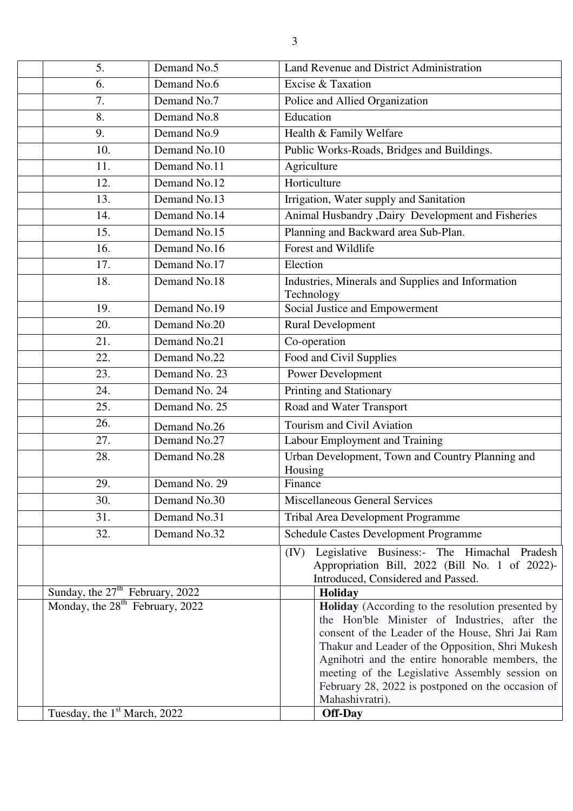| 5.                                                                               | Demand No.5   | Land Revenue and District Administration                                                                                                                                                                                                                                                                                           |
|----------------------------------------------------------------------------------|---------------|------------------------------------------------------------------------------------------------------------------------------------------------------------------------------------------------------------------------------------------------------------------------------------------------------------------------------------|
|                                                                                  | Demand No.6   |                                                                                                                                                                                                                                                                                                                                    |
| 6.<br>7.                                                                         |               | Excise & Taxation                                                                                                                                                                                                                                                                                                                  |
|                                                                                  | Demand No.7   | Police and Allied Organization<br>Education                                                                                                                                                                                                                                                                                        |
| 8.                                                                               | Demand No.8   |                                                                                                                                                                                                                                                                                                                                    |
| 9.                                                                               | Demand No.9   | Health & Family Welfare                                                                                                                                                                                                                                                                                                            |
| 10.                                                                              | Demand No.10  | Public Works-Roads, Bridges and Buildings.                                                                                                                                                                                                                                                                                         |
| 11.                                                                              | Demand No.11  | Agriculture                                                                                                                                                                                                                                                                                                                        |
| 12.                                                                              | Demand No.12  | Horticulture                                                                                                                                                                                                                                                                                                                       |
| 13.                                                                              | Demand No.13  | Irrigation, Water supply and Sanitation                                                                                                                                                                                                                                                                                            |
| 14.                                                                              | Demand No.14  | Animal Husbandry , Dairy Development and Fisheries                                                                                                                                                                                                                                                                                 |
| 15.                                                                              | Demand No.15  | Planning and Backward area Sub-Plan.                                                                                                                                                                                                                                                                                               |
| 16.                                                                              | Demand No.16  | Forest and Wildlife                                                                                                                                                                                                                                                                                                                |
| 17.                                                                              | Demand No.17  | Election                                                                                                                                                                                                                                                                                                                           |
| 18.                                                                              | Demand No.18  | Industries, Minerals and Supplies and Information<br>Technology                                                                                                                                                                                                                                                                    |
| 19.                                                                              | Demand No.19  | Social Justice and Empowerment                                                                                                                                                                                                                                                                                                     |
| 20.                                                                              | Demand No.20  | <b>Rural Development</b>                                                                                                                                                                                                                                                                                                           |
| 21.                                                                              | Demand No.21  | Co-operation                                                                                                                                                                                                                                                                                                                       |
| 22.                                                                              | Demand No.22  | Food and Civil Supplies                                                                                                                                                                                                                                                                                                            |
| 23.                                                                              | Demand No. 23 | Power Development                                                                                                                                                                                                                                                                                                                  |
| 24.                                                                              | Demand No. 24 | Printing and Stationary                                                                                                                                                                                                                                                                                                            |
| 25.                                                                              | Demand No. 25 | Road and Water Transport                                                                                                                                                                                                                                                                                                           |
| 26.                                                                              | Demand No.26  | Tourism and Civil Aviation                                                                                                                                                                                                                                                                                                         |
| 27.                                                                              | Demand No.27  | Labour Employment and Training                                                                                                                                                                                                                                                                                                     |
| 28.                                                                              | Demand No.28  | Urban Development, Town and Country Planning and<br>Housing                                                                                                                                                                                                                                                                        |
| 29.                                                                              | Demand No. 29 | Finance                                                                                                                                                                                                                                                                                                                            |
| 30.                                                                              | Demand No.30  | <b>Miscellaneous General Services</b>                                                                                                                                                                                                                                                                                              |
| 31.                                                                              | Demand No.31  | Tribal Area Development Programme                                                                                                                                                                                                                                                                                                  |
| 32.                                                                              | Demand No.32  | <b>Schedule Castes Development Programme</b>                                                                                                                                                                                                                                                                                       |
|                                                                                  |               | Legislative Business:- The Himachal Pradesh<br>(IV)<br>Appropriation Bill, 2022 (Bill No. 1 of 2022)-<br>Introduced, Considered and Passed.                                                                                                                                                                                        |
| Sunday, the $27th$ February, 2022<br>Monday, the 28 <sup>th</sup> February, 2022 |               | Holiday<br><b>Holiday</b> (According to the resolution presented by                                                                                                                                                                                                                                                                |
|                                                                                  |               | the Hon'ble Minister of Industries, after the<br>consent of the Leader of the House, Shri Jai Ram<br>Thakur and Leader of the Opposition, Shri Mukesh<br>Agnihotri and the entire honorable members, the<br>meeting of the Legislative Assembly session on<br>February 28, 2022 is postponed on the occasion of<br>Mahashivratri). |
| Tuesday, the 1 <sup>st</sup> March, 2022                                         |               | Off-Day                                                                                                                                                                                                                                                                                                                            |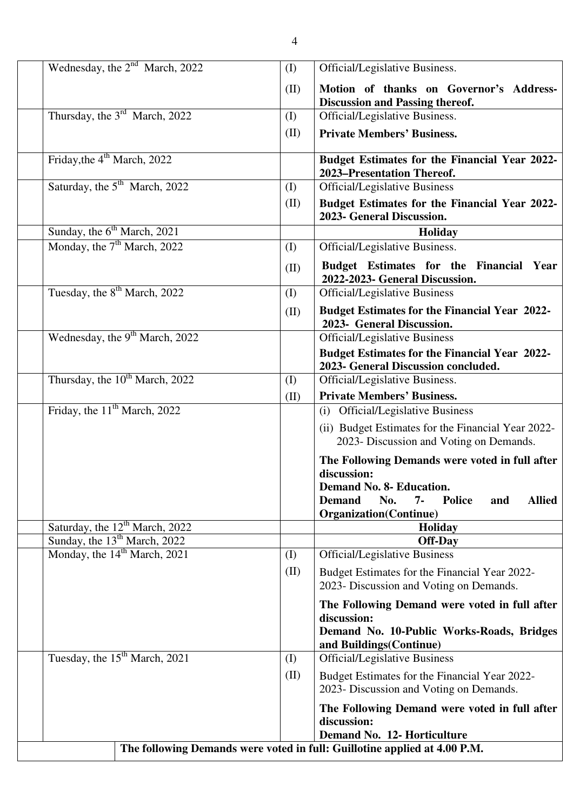| Wednesday, the $2^{nd}$ March, 2022                                       | (I)  | Official/Legislative Business.                                                                                                                                                                            |  |  |  |  |
|---------------------------------------------------------------------------|------|-----------------------------------------------------------------------------------------------------------------------------------------------------------------------------------------------------------|--|--|--|--|
|                                                                           | (II) | Motion of thanks on Governor's Address-<br><b>Discussion and Passing thereof.</b>                                                                                                                         |  |  |  |  |
| Thursday, the $3rd$ March, 2022                                           | (I)  | Official/Legislative Business.                                                                                                                                                                            |  |  |  |  |
|                                                                           | (II) | <b>Private Members' Business.</b>                                                                                                                                                                         |  |  |  |  |
| Friday, the 4 <sup>th</sup> March, 2022                                   |      | Budget Estimates for the Financial Year 2022-<br>2023-Presentation Thereof.                                                                                                                               |  |  |  |  |
| Saturday, the 5 <sup>th</sup> March, 2022                                 | (I)  | <b>Official/Legislative Business</b>                                                                                                                                                                      |  |  |  |  |
|                                                                           | (II) | Budget Estimates for the Financial Year 2022-<br>2023- General Discussion.                                                                                                                                |  |  |  |  |
| Sunday, the 6 <sup>th</sup> March, 2021                                   |      | Holiday                                                                                                                                                                                                   |  |  |  |  |
| Monday, the $7th$ March, 2022                                             | (I)  | Official/Legislative Business.                                                                                                                                                                            |  |  |  |  |
|                                                                           | (II) | Budget Estimates for the Financial Year<br>2022-2023- General Discussion.                                                                                                                                 |  |  |  |  |
| Tuesday, the 8 <sup>th</sup> March, 2022                                  | (I)  | <b>Official/Legislative Business</b>                                                                                                                                                                      |  |  |  |  |
|                                                                           | (II) | <b>Budget Estimates for the Financial Year 2022-</b><br>2023- General Discussion.                                                                                                                         |  |  |  |  |
| Wednesday, the 9 <sup>th</sup> March, 2022                                |      | <b>Official/Legislative Business</b>                                                                                                                                                                      |  |  |  |  |
|                                                                           |      | <b>Budget Estimates for the Financial Year 2022-</b><br>2023- General Discussion concluded.                                                                                                               |  |  |  |  |
| Thursday, the 10 <sup>th</sup> March, 2022                                | (I)  | Official/Legislative Business.                                                                                                                                                                            |  |  |  |  |
|                                                                           | (II) | <b>Private Members' Business.</b>                                                                                                                                                                         |  |  |  |  |
| Friday, the $11th$ March, 2022                                            |      | (i) Official/Legislative Business                                                                                                                                                                         |  |  |  |  |
|                                                                           |      | (ii) Budget Estimates for the Financial Year 2022-<br>2023- Discussion and Voting on Demands.                                                                                                             |  |  |  |  |
|                                                                           |      | The Following Demands were voted in full after<br>discussion:<br><b>Demand No. 8- Education.</b><br><b>Allied</b><br><b>Demand</b><br>No.<br>7-<br><b>Police</b><br>and<br><b>Organization</b> (Continue) |  |  |  |  |
| Saturday, the 12 <sup>th</sup> March, 2022                                |      | Holiday                                                                                                                                                                                                   |  |  |  |  |
| Sunday, the 13 <sup>th</sup> March, 2022                                  |      | <b>Off-Day</b>                                                                                                                                                                                            |  |  |  |  |
| Monday, the 14 <sup>th</sup> March, 2021                                  | (I)  | <b>Official/Legislative Business</b>                                                                                                                                                                      |  |  |  |  |
|                                                                           | (II) | Budget Estimates for the Financial Year 2022-<br>2023- Discussion and Voting on Demands.                                                                                                                  |  |  |  |  |
|                                                                           |      | The Following Demand were voted in full after<br>discussion:<br>Demand No. 10-Public Works-Roads, Bridges<br>and Buildings (Continue)                                                                     |  |  |  |  |
| Tuesday, the 15 <sup>th</sup> March, 2021                                 | (I)  | <b>Official/Legislative Business</b>                                                                                                                                                                      |  |  |  |  |
|                                                                           | (II) | Budget Estimates for the Financial Year 2022-<br>2023- Discussion and Voting on Demands.                                                                                                                  |  |  |  |  |
|                                                                           |      | The Following Demand were voted in full after<br>discussion:                                                                                                                                              |  |  |  |  |
|                                                                           |      | Demand No. 12- Horticulture                                                                                                                                                                               |  |  |  |  |
| The following Demands were voted in full: Guillotine applied at 4.00 P.M. |      |                                                                                                                                                                                                           |  |  |  |  |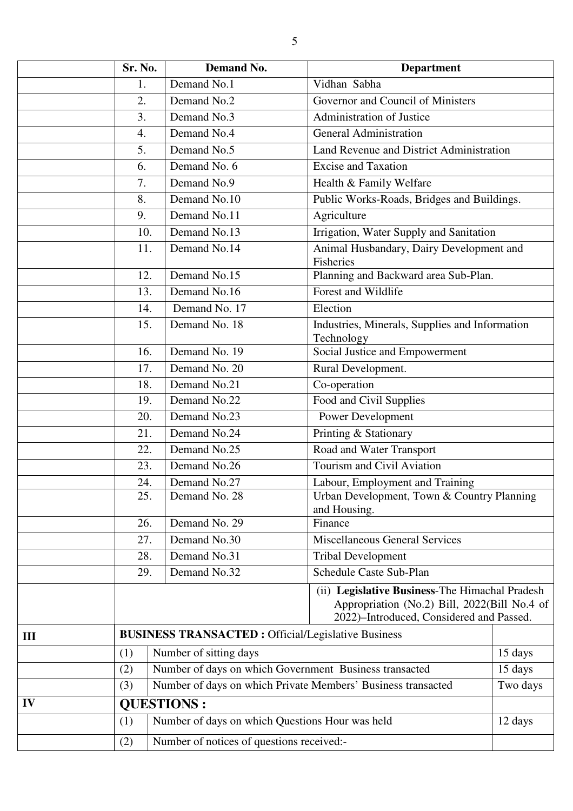|     | Sr. No. | <b>Demand No.</b>                                                                                                                          | <b>Department</b>                                            |          |  |  |
|-----|---------|--------------------------------------------------------------------------------------------------------------------------------------------|--------------------------------------------------------------|----------|--|--|
|     | 1.      | Demand No.1                                                                                                                                | Vidhan Sabha                                                 |          |  |  |
|     | 2.      | Demand No.2                                                                                                                                | Governor and Council of Ministers                            |          |  |  |
|     | 3.      | Demand No.3                                                                                                                                | <b>Administration of Justice</b>                             |          |  |  |
|     | 4.      | Demand No.4                                                                                                                                | <b>General Administration</b>                                |          |  |  |
|     | 5.      | Demand No.5                                                                                                                                | Land Revenue and District Administration                     |          |  |  |
|     | 6.      | Demand No. 6                                                                                                                               | <b>Excise and Taxation</b>                                   |          |  |  |
|     | 7.      | Demand No.9                                                                                                                                | Health & Family Welfare                                      |          |  |  |
|     | 8.      | Demand No.10                                                                                                                               | Public Works-Roads, Bridges and Buildings.                   |          |  |  |
|     | 9.      | Demand No.11                                                                                                                               | Agriculture                                                  |          |  |  |
|     | 10.     | Demand No.13                                                                                                                               | Irrigation, Water Supply and Sanitation                      |          |  |  |
|     | 11.     | Demand No.14                                                                                                                               | Animal Husbandary, Dairy Development and<br>Fisheries        |          |  |  |
|     | 12.     | Demand No.15                                                                                                                               | Planning and Backward area Sub-Plan.                         |          |  |  |
|     | 13.     | Demand No.16                                                                                                                               | Forest and Wildlife                                          |          |  |  |
|     | 14.     | Demand No. 17                                                                                                                              | Election                                                     |          |  |  |
|     | 15.     | Demand No. 18                                                                                                                              | Industries, Minerals, Supplies and Information<br>Technology |          |  |  |
|     | 16.     | Demand No. 19                                                                                                                              | Social Justice and Empowerment                               |          |  |  |
|     | 17.     | Demand No. 20                                                                                                                              | Rural Development.                                           |          |  |  |
|     | 18.     | Demand No.21                                                                                                                               | Co-operation                                                 |          |  |  |
|     | 19.     | Demand No.22                                                                                                                               | Food and Civil Supplies                                      |          |  |  |
|     | 20.     | Demand No.23                                                                                                                               | Power Development                                            |          |  |  |
|     | 21.     | Demand No.24                                                                                                                               | Printing & Stationary                                        |          |  |  |
|     | 22.     | Demand No.25                                                                                                                               | Road and Water Transport                                     |          |  |  |
|     | 23.     | Demand No.26                                                                                                                               | Tourism and Civil Aviation                                   |          |  |  |
|     | 24.     | Demand No.27                                                                                                                               | Labour, Employment and Training                              |          |  |  |
|     | 25.     | Demand No. 28                                                                                                                              | Urban Development, Town & Country Planning<br>and Housing.   |          |  |  |
|     | 26.     | Demand No. 29                                                                                                                              | Finance                                                      |          |  |  |
|     | 27.     | Demand No.30                                                                                                                               | <b>Miscellaneous General Services</b>                        |          |  |  |
|     | 28.     | Demand No.31                                                                                                                               | <b>Tribal Development</b>                                    |          |  |  |
|     | 29.     | Demand No.32                                                                                                                               | <b>Schedule Caste Sub-Plan</b>                               |          |  |  |
|     |         | (ii) Legislative Business-The Himachal Pradesh<br>Appropriation (No.2) Bill, 2022(Bill No.4 of<br>2022)-Introduced, Considered and Passed. |                                                              |          |  |  |
| III |         | <b>BUSINESS TRANSACTED : Official/Legislative Business</b>                                                                                 |                                                              |          |  |  |
|     | (1)     | Number of sitting days                                                                                                                     |                                                              | 15 days  |  |  |
|     | (2)     | Number of days on which Government Business transacted                                                                                     |                                                              | 15 days  |  |  |
|     | (3)     | Number of days on which Private Members' Business transacted                                                                               |                                                              | Two days |  |  |
| IV  |         | <b>QUESTIONS:</b>                                                                                                                          |                                                              |          |  |  |
|     | (1)     | Number of days on which Questions Hour was held                                                                                            |                                                              | 12 days  |  |  |
|     | (2)     |                                                                                                                                            | Number of notices of questions received:-                    |          |  |  |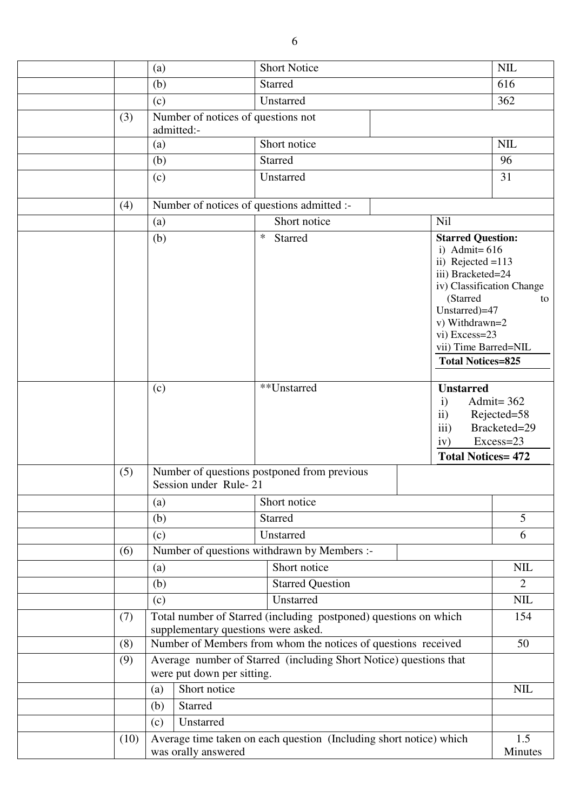|      | (a)                        | <b>Short Notice</b>                                                                                     |                                                                                                                                                                                                                                          | <b>NIL</b>                                               |
|------|----------------------------|---------------------------------------------------------------------------------------------------------|------------------------------------------------------------------------------------------------------------------------------------------------------------------------------------------------------------------------------------------|----------------------------------------------------------|
|      | (b)                        | <b>Starred</b>                                                                                          |                                                                                                                                                                                                                                          | 616                                                      |
|      | (c)                        | Unstarred                                                                                               |                                                                                                                                                                                                                                          | 362                                                      |
| (3)  | admitted:-                 | Number of notices of questions not                                                                      |                                                                                                                                                                                                                                          |                                                          |
|      | (a)                        | Short notice                                                                                            |                                                                                                                                                                                                                                          | <b>NIL</b>                                               |
|      | (b)                        | <b>Starred</b>                                                                                          |                                                                                                                                                                                                                                          | 96                                                       |
|      | (c)                        | Unstarred                                                                                               |                                                                                                                                                                                                                                          | 31                                                       |
| (4)  |                            | Number of notices of questions admitted :-                                                              |                                                                                                                                                                                                                                          |                                                          |
|      | (a)                        | Short notice                                                                                            | Nil                                                                                                                                                                                                                                      |                                                          |
|      | (b)                        | $\ast$<br>Starred                                                                                       | <b>Starred Question:</b><br>i) Admit= $616$<br>ii) Rejected $=113$<br>iii) Bracketed=24<br>iv) Classification Change<br>(Starred<br>Unstarred)=47<br>v) Withdrawn=2<br>vi) Excess=23<br>vii) Time Barred=NIL<br><b>Total Notices=825</b> | to                                                       |
|      | (c)                        | **Unstarred                                                                                             | <b>Unstarred</b><br>$\mathbf{i}$<br>$\mathbf{ii}$<br>iii)<br>iv)<br><b>Total Notices= 472</b>                                                                                                                                            | Admit= $362$<br>Rejected=58<br>Bracketed=29<br>Excess=23 |
| (5)  | Session under Rule-21      | Number of questions postponed from previous                                                             |                                                                                                                                                                                                                                          |                                                          |
|      | (a)                        | Short notice                                                                                            |                                                                                                                                                                                                                                          |                                                          |
|      | (b)                        | <b>Starred</b>                                                                                          |                                                                                                                                                                                                                                          | 5                                                        |
|      | (c)                        | Unstarred                                                                                               |                                                                                                                                                                                                                                          | 6                                                        |
| (6)  |                            | Number of questions withdrawn by Members :-                                                             |                                                                                                                                                                                                                                          |                                                          |
|      | (a)                        | Short notice                                                                                            |                                                                                                                                                                                                                                          | <b>NIL</b>                                               |
|      | (b)                        | <b>Starred Question</b>                                                                                 |                                                                                                                                                                                                                                          | $\overline{2}$                                           |
|      | (c)                        | Unstarred                                                                                               |                                                                                                                                                                                                                                          | $\mbox{NIL}$                                             |
| (7)  |                            | Total number of Starred (including postponed) questions on which<br>supplementary questions were asked. |                                                                                                                                                                                                                                          | 154                                                      |
| (8)  |                            | Number of Members from whom the notices of questions received                                           |                                                                                                                                                                                                                                          | 50                                                       |
| (9)  | were put down per sitting. | Average number of Starred (including Short Notice) questions that                                       |                                                                                                                                                                                                                                          |                                                          |
|      | Short notice<br>(a)        |                                                                                                         |                                                                                                                                                                                                                                          | $\text{NIL}$                                             |
|      | Starred<br>(b)             |                                                                                                         |                                                                                                                                                                                                                                          |                                                          |
|      | Unstarred<br>(c)           |                                                                                                         |                                                                                                                                                                                                                                          |                                                          |
| (10) | was orally answered        | Average time taken on each question (Including short notice) which                                      |                                                                                                                                                                                                                                          | 1.5<br>Minutes                                           |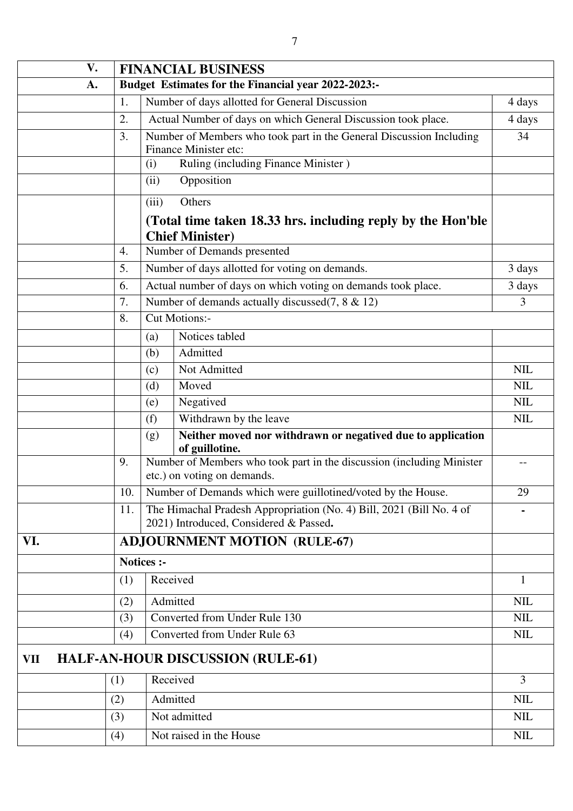| V.  |     | <b>FINANCIAL BUSINESS</b>                                                                                      |                |  |  |  |
|-----|-----|----------------------------------------------------------------------------------------------------------------|----------------|--|--|--|
| A.  |     | Budget Estimates for the Financial year 2022-2023:-                                                            |                |  |  |  |
|     | 1.  | Number of days allotted for General Discussion                                                                 | 4 days         |  |  |  |
|     | 2.  | Actual Number of days on which General Discussion took place.                                                  | 4 days         |  |  |  |
|     | 3.  | Number of Members who took part in the General Discussion Including<br>Finance Minister etc:                   | 34             |  |  |  |
|     |     | Ruling (including Finance Minister)<br>(i)                                                                     |                |  |  |  |
|     |     | Opposition<br>(ii)                                                                                             |                |  |  |  |
|     |     | (iii)<br>Others                                                                                                |                |  |  |  |
|     |     |                                                                                                                |                |  |  |  |
|     |     | (Total time taken 18.33 hrs. including reply by the Hon'ble<br><b>Chief Minister)</b>                          |                |  |  |  |
|     | 4.  | Number of Demands presented                                                                                    |                |  |  |  |
|     | 5.  | Number of days allotted for voting on demands.                                                                 | 3 days         |  |  |  |
|     | 6.  | Actual number of days on which voting on demands took place.                                                   | 3 days         |  |  |  |
|     | 7.  | Number of demands actually discussed $(7, 8 \& 12)$                                                            | 3              |  |  |  |
|     | 8.  | <b>Cut Motions:-</b>                                                                                           |                |  |  |  |
|     |     | Notices tabled<br>(a)                                                                                          |                |  |  |  |
|     |     | Admitted<br>(b)                                                                                                |                |  |  |  |
|     |     | Not Admitted<br>(c)                                                                                            | <b>NIL</b>     |  |  |  |
|     |     | Moved<br>(d)                                                                                                   | <b>NIL</b>     |  |  |  |
|     |     | Negatived<br>(e)                                                                                               | <b>NIL</b>     |  |  |  |
|     |     | Withdrawn by the leave<br>(f)                                                                                  | <b>NIL</b>     |  |  |  |
|     |     | Neither moved nor withdrawn or negatived due to application<br>(g)<br>of guillotine.                           |                |  |  |  |
|     | 9.  | Number of Members who took part in the discussion (including Minister                                          | --             |  |  |  |
|     |     | etc.) on voting on demands.                                                                                    |                |  |  |  |
|     | 10. | Number of Demands which were guillotined/voted by the House.                                                   | 29             |  |  |  |
|     | 11. | The Himachal Pradesh Appropriation (No. 4) Bill, 2021 (Bill No. 4 of<br>2021) Introduced, Considered & Passed. |                |  |  |  |
| VI. |     | <b>ADJOURNMENT MOTION (RULE-67)</b>                                                                            |                |  |  |  |
|     |     | <b>Notices :-</b>                                                                                              |                |  |  |  |
|     | (1) | Received                                                                                                       | 1              |  |  |  |
|     | (2) | Admitted                                                                                                       | <b>NIL</b>     |  |  |  |
|     | (3) | Converted from Under Rule 130                                                                                  | <b>NIL</b>     |  |  |  |
|     | (4) | Converted from Under Rule 63                                                                                   | <b>NIL</b>     |  |  |  |
| VII |     | <b>HALF-AN-HOUR DISCUSSION (RULE-61)</b>                                                                       |                |  |  |  |
|     | (1) | Received                                                                                                       | $\overline{3}$ |  |  |  |
|     | (2) | Admitted                                                                                                       | <b>NIL</b>     |  |  |  |
|     | (3) | Not admitted                                                                                                   | <b>NIL</b>     |  |  |  |
|     | (4) | Not raised in the House                                                                                        | <b>NIL</b>     |  |  |  |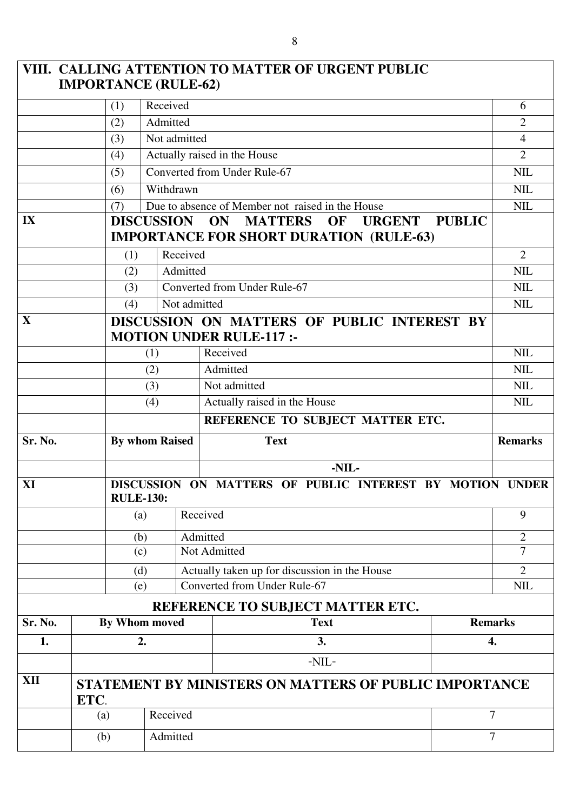|                                                                                               | <b>IMPORTANCE (RULE-62)</b> |                       |                              | VIII. CALLING ATTENTION TO MATTER OF URGENT PUBLIC                                                                    |                     |  |  |
|-----------------------------------------------------------------------------------------------|-----------------------------|-----------------------|------------------------------|-----------------------------------------------------------------------------------------------------------------------|---------------------|--|--|
|                                                                                               | (1)                         | Received              |                              |                                                                                                                       | 6                   |  |  |
|                                                                                               | (2)                         | Admitted              |                              |                                                                                                                       | $\overline{2}$      |  |  |
|                                                                                               | (3)                         | Not admitted          |                              |                                                                                                                       | $\overline{4}$      |  |  |
|                                                                                               | (4)                         |                       | Actually raised in the House |                                                                                                                       |                     |  |  |
|                                                                                               | (5)                         |                       | Converted from Under Rule-67 |                                                                                                                       |                     |  |  |
|                                                                                               | (6)                         | Withdrawn             |                              |                                                                                                                       | <b>NIL</b>          |  |  |
|                                                                                               | (7)                         |                       |                              | Due to absence of Member not raised in the House                                                                      | <b>NIL</b>          |  |  |
| IX                                                                                            |                             | <b>DISCUSSION</b>     |                              | <b>MATTERS</b><br><b>PUBLIC</b><br>ON<br><b>OF</b><br><b>URGENT</b><br><b>IMPORTANCE FOR SHORT DURATION (RULE-63)</b> |                     |  |  |
|                                                                                               | (1)                         | Received              |                              |                                                                                                                       | 2                   |  |  |
|                                                                                               | (2)                         | Admitted              |                              |                                                                                                                       | <b>NIL</b>          |  |  |
|                                                                                               | (3)                         |                       |                              | Converted from Under Rule-67                                                                                          | NIL                 |  |  |
|                                                                                               | (4)                         | Not admitted          |                              |                                                                                                                       | <b>NIL</b>          |  |  |
| $\mathbf{X}$<br>DISCUSSION ON MATTERS OF PUBLIC INTEREST BY<br><b>MOTION UNDER RULE-117:-</b> |                             |                       |                              |                                                                                                                       |                     |  |  |
|                                                                                               |                             | (1)                   |                              | Received                                                                                                              | <b>NIL</b>          |  |  |
|                                                                                               |                             | (2)                   |                              | Admitted                                                                                                              | NIL                 |  |  |
| (3)                                                                                           |                             |                       | Not admitted                 | <b>NIL</b>                                                                                                            |                     |  |  |
|                                                                                               | (4)                         |                       |                              | Actually raised in the House                                                                                          | <b>NIL</b>          |  |  |
|                                                                                               |                             |                       |                              | REFERENCE TO SUBJECT MATTER ETC.                                                                                      |                     |  |  |
| Sr. No.                                                                                       |                             | <b>By whom Raised</b> |                              | <b>Text</b>                                                                                                           | <b>Remarks</b>      |  |  |
| XI                                                                                            |                             | <b>RULE-130:</b>      |                              | -NIL-<br>DISCUSSION ON MATTERS OF PUBLIC INTEREST BY MOTION UNDER                                                     |                     |  |  |
|                                                                                               |                             | (a)                   | Received                     |                                                                                                                       | 9                   |  |  |
|                                                                                               |                             |                       |                              |                                                                                                                       |                     |  |  |
|                                                                                               |                             | (b)<br>(c)            | Admitted                     | Not Admitted                                                                                                          | $\overline{2}$<br>7 |  |  |
|                                                                                               |                             | (d)                   |                              | Actually taken up for discussion in the House                                                                         | $\overline{2}$      |  |  |
|                                                                                               |                             | (e)                   | Converted from Under Rule-67 |                                                                                                                       | <b>NIL</b>          |  |  |
|                                                                                               |                             |                       |                              | REFERENCE TO SUBJECT MATTER ETC.                                                                                      |                     |  |  |
| Sr. No.                                                                                       |                             | By Whom moved         |                              | <b>Text</b>                                                                                                           | <b>Remarks</b>      |  |  |
| 1.                                                                                            |                             | 2.                    |                              | 3.                                                                                                                    | 4.                  |  |  |
|                                                                                               |                             |                       |                              | $-NIL-$                                                                                                               |                     |  |  |
| XII                                                                                           | ETC.                        |                       |                              | STATEMENT BY MINISTERS ON MATTERS OF PUBLIC IMPORTANCE                                                                |                     |  |  |
|                                                                                               | Received<br>(a)             |                       |                              |                                                                                                                       | 7                   |  |  |
|                                                                                               |                             |                       |                              |                                                                                                                       |                     |  |  |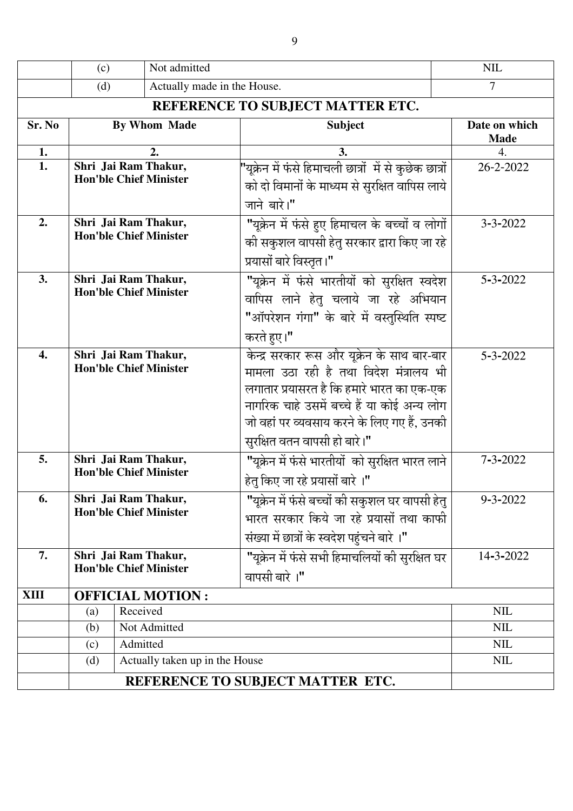|        | (c)                                                   | Not admitted                                          | <b>NIL</b>                     |                                                                                                                                                                                                                                                                  |                              |  |  |
|--------|-------------------------------------------------------|-------------------------------------------------------|--------------------------------|------------------------------------------------------------------------------------------------------------------------------------------------------------------------------------------------------------------------------------------------------------------|------------------------------|--|--|
|        | (d)                                                   | $\overline{7}$                                        |                                |                                                                                                                                                                                                                                                                  |                              |  |  |
|        |                                                       |                                                       |                                |                                                                                                                                                                                                                                                                  |                              |  |  |
| Sr. No | By Whom Made                                          |                                                       |                                | <b>Subject</b>                                                                                                                                                                                                                                                   | Date on which<br><b>Made</b> |  |  |
| 1.     |                                                       |                                                       | 2.                             | 3.                                                                                                                                                                                                                                                               | 4.                           |  |  |
| 1.     |                                                       | Shri Jai Ram Thakur,<br><b>Hon'ble Chief Minister</b> |                                | "यूक्रेन में फंसे हिमाचली छात्रों  में से कुछेक छात्रों<br>को दो विमानों के माध्यम से सुरक्षित वापिस लाये                                                                                                                                                        | 26-2-2022                    |  |  |
|        |                                                       |                                                       |                                | जाने बारे।"                                                                                                                                                                                                                                                      |                              |  |  |
| 2.     | Shri Jai Ram Thakur,<br><b>Hon'ble Chief Minister</b> |                                                       |                                | "यूक्रेन में फंसे हुए हिमाचल के बच्चों व लोगों<br>की सकुशल वापसी हेतु सरकार द्वारा किए जा रहे<br>प्रयासों बारे विस्तृत ।"                                                                                                                                        | $3 - 3 - 2022$               |  |  |
| 3.     | Shri Jai Ram Thakur,<br><b>Hon'ble Chief Minister</b> |                                                       |                                | "यूक्रेन में फंसे भारतीयों को सुरक्षित स्वदेश<br>वापिस लाने हेतु चलाये जा रहे अभियान<br>"ऑपरेशन गंगा" के बारे में वस्तुस्थिति स्पष्ट<br>करते हुए।"                                                                                                               | $5 - 3 - 2022$               |  |  |
| 4.     | Shri Jai Ram Thakur,<br><b>Hon'ble Chief Minister</b> |                                                       |                                | केन्द्र सरकार रूस और यूक्रेन के साथ बार-बार<br>मामला उठा रही है तथा विदेश मंत्रालय भी<br>लगातार प्रयासरत है कि हमारे भारत का एक-एक<br>नागरिक चाहे उसमें बच्चे हैं या कोई अन्य लोग<br>जो वहां पर व्यवसाय करने के लिए गए हैं, उनकी<br>सुरक्षित वतन वापसी हो बारे।" | $5 - 3 - 2022$               |  |  |
| 5.     | Shri Jai Ram Thakur,                                  |                                                       | <b>Hon'ble Chief Minister</b>  | "यूक्रेन में फंसे भारतीयों  को सुरक्षित भारत लाने<br>हेतू किए जा रहे प्रयासों बारे ।"                                                                                                                                                                            | $7 - 3 - 2022$               |  |  |
| 6.     | Shri Jai Ram Thakur,<br><b>Hon'ble Chief Minister</b> |                                                       |                                | "यूक्रेन में फंसे बच्चों की सकुशल घर वापसी हेतु<br>भारत सरकार किये जा रहे प्रयासों तथा काफी<br>संख्या में छात्रों के स्वदेश पहुंचने बारे ।"                                                                                                                      | $9 - 3 - 2022$               |  |  |
| 7.     | Shri Jai Ram Thakur,<br><b>Hon'ble Chief Minister</b> |                                                       |                                | "यूक्रेन में फंसे सभी हिमाचलियों की सुरक्षित घर<br>वापसी बारे ।"                                                                                                                                                                                                 | 14-3-2022                    |  |  |
| XIII   | <b>OFFICIAL MOTION:</b>                               |                                                       |                                |                                                                                                                                                                                                                                                                  |                              |  |  |
|        | (a)                                                   | Received                                              |                                |                                                                                                                                                                                                                                                                  | <b>NIL</b>                   |  |  |
|        | (b)                                                   |                                                       | Not Admitted                   |                                                                                                                                                                                                                                                                  | <b>NIL</b>                   |  |  |
|        | (c)                                                   | Admitted                                              |                                |                                                                                                                                                                                                                                                                  | <b>NIL</b>                   |  |  |
|        | (d)                                                   |                                                       | Actually taken up in the House |                                                                                                                                                                                                                                                                  | <b>NIL</b>                   |  |  |
|        |                                                       | REFERENCE TO SUBJECT MATTER ETC.                      |                                |                                                                                                                                                                                                                                                                  |                              |  |  |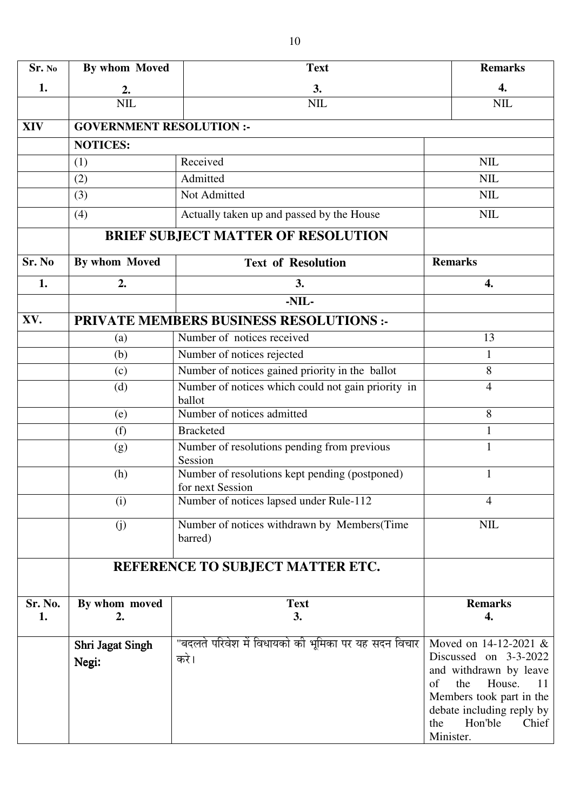| Sr. No     | By whom Moved                   | <b>Text</b>                                                        | <b>Remarks</b>                                                                                                                                                                                         |
|------------|---------------------------------|--------------------------------------------------------------------|--------------------------------------------------------------------------------------------------------------------------------------------------------------------------------------------------------|
| 1.         | 2.                              | 3.                                                                 | 4.                                                                                                                                                                                                     |
|            | <b>NIL</b>                      | <b>NIL</b>                                                         | <b>NIL</b>                                                                                                                                                                                             |
| <b>XIV</b> | <b>GOVERNMENT RESOLUTION :-</b> |                                                                    |                                                                                                                                                                                                        |
|            | <b>NOTICES:</b>                 |                                                                    |                                                                                                                                                                                                        |
|            | (1)                             | Received                                                           | <b>NIL</b>                                                                                                                                                                                             |
|            | (2)                             | Admitted                                                           | <b>NIL</b>                                                                                                                                                                                             |
|            | (3)                             | Not Admitted                                                       | <b>NIL</b>                                                                                                                                                                                             |
|            | (4)                             | Actually taken up and passed by the House                          | <b>NIL</b>                                                                                                                                                                                             |
|            |                                 | <b>BRIEF SUBJECT MATTER OF RESOLUTION</b>                          |                                                                                                                                                                                                        |
| Sr. No     | By whom Moved                   | <b>Text of Resolution</b>                                          | <b>Remarks</b>                                                                                                                                                                                         |
| 1.         | 2.                              | 3.                                                                 | 4.                                                                                                                                                                                                     |
|            |                                 | -NIL-                                                              |                                                                                                                                                                                                        |
| XV.        |                                 | <b>PRIVATE MEMBERS BUSINESS RESOLUTIONS:-</b>                      |                                                                                                                                                                                                        |
|            | (a)                             | Number of notices received                                         | 13                                                                                                                                                                                                     |
|            | (b)                             | Number of notices rejected                                         | 1                                                                                                                                                                                                      |
|            | (c)                             | Number of notices gained priority in the ballot                    | 8                                                                                                                                                                                                      |
|            | (d)                             | Number of notices which could not gain priority in<br>ballot       | 4                                                                                                                                                                                                      |
|            | (e)                             | Number of notices admitted                                         | 8                                                                                                                                                                                                      |
|            | (f)                             | <b>Bracketed</b>                                                   | 1                                                                                                                                                                                                      |
|            | (g)                             | Number of resolutions pending from previous<br>Session             | $\mathbf{1}$                                                                                                                                                                                           |
|            | (h)                             | Number of resolutions kept pending (postponed)<br>for next Session | $\mathbf{1}$                                                                                                                                                                                           |
|            | (i)                             | Number of notices lapsed under Rule-112                            | 4                                                                                                                                                                                                      |
|            | (j)                             | Number of notices withdrawn by Members(Time<br>barred)             | <b>NIL</b>                                                                                                                                                                                             |
|            |                                 | REFERENCE TO SUBJECT MATTER ETC.                                   |                                                                                                                                                                                                        |
| Sr. No.    | By whom moved                   | <b>Text</b>                                                        | <b>Remarks</b>                                                                                                                                                                                         |
| 1.         | 2.                              | 3.                                                                 | 4.                                                                                                                                                                                                     |
|            | Shri Jagat Singh<br>Negi:       | "बदलते परिवेश में विधायको की भूमिका पर यह सदन विचार<br>करे।        | Moved on 14-12-2021 &<br>Discussed on 3-3-2022<br>and withdrawn by leave<br>the<br>of<br>House.<br>11<br>Members took part in the<br>debate including reply by<br>Hon'ble<br>Chief<br>the<br>Minister. |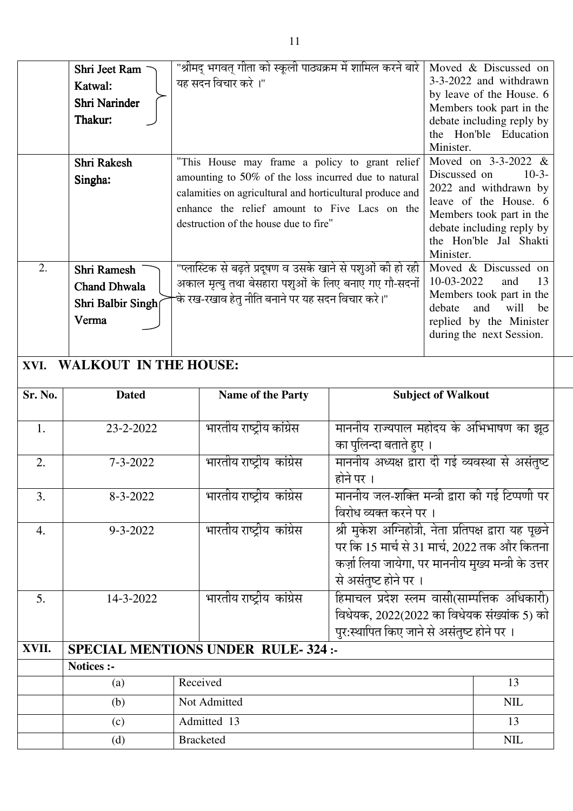|         | Shri Jeet Ram<br>Katwal:<br>Shri Narinder<br>Thakur:<br>Shri Rakesh<br>Singha: | "श्रीमद् भगवत् गीता को स्कूली पाठ्यक्रम में शामिल करने बारे<br>यह सदन विचार करे ।"<br>"This House may frame a policy to grant relief<br>amounting to 50% of the loss incurred due to natural<br>calamities on agricultural and horticultural produce and<br>enhance the relief amount to Five Lacs on the<br>destruction of the house due to fire" | Minister.<br>Minister.                                                                                                                                                                  | Moved & Discussed on<br>3-3-2022 and withdrawn<br>by leave of the House. 6<br>Members took part in the<br>debate including reply by<br>the Hon'ble Education<br>Moved on $3-3-2022$ &<br>Discussed on<br>$10-3-$<br>2022 and withdrawn by<br>leave of the House. 6<br>Members took part in the<br>debate including reply by<br>the Hon'ble Jal Shakti |  |
|---------|--------------------------------------------------------------------------------|----------------------------------------------------------------------------------------------------------------------------------------------------------------------------------------------------------------------------------------------------------------------------------------------------------------------------------------------------|-----------------------------------------------------------------------------------------------------------------------------------------------------------------------------------------|-------------------------------------------------------------------------------------------------------------------------------------------------------------------------------------------------------------------------------------------------------------------------------------------------------------------------------------------------------|--|
| 2.      | Shri Ramesh<br><b>Chand Dhwala</b><br>Shri Balbir Singh<br>Verma               | "प्लास्टिक से बढ़ते प्रदूषण व उसके खाने से पशुओं की हो रही<br>अकाल मृत्यु तथा बेसहारा पशुओं के लिए बनाए गए गौ-सदनों<br>के रख-रखाव हेतू नीति बनाने पर यह सदन विचार करे।"                                                                                                                                                                            | debate                                                                                                                                                                                  | Moved & Discussed on<br>10-03-2022<br>13<br>and<br>Members took part in the<br>will<br>and<br>be<br>replied by the Minister<br>during the next Session.                                                                                                                                                                                               |  |
| XVI.    | <b>WALKOUT IN THE HOUSE:</b>                                                   |                                                                                                                                                                                                                                                                                                                                                    |                                                                                                                                                                                         |                                                                                                                                                                                                                                                                                                                                                       |  |
| Sr. No. | <b>Dated</b>                                                                   | Name of the Party                                                                                                                                                                                                                                                                                                                                  | <b>Subject of Walkout</b>                                                                                                                                                               |                                                                                                                                                                                                                                                                                                                                                       |  |
| 1.      | 23-2-2022                                                                      | भारतीय राष्ट्रीय कांग्रेस                                                                                                                                                                                                                                                                                                                          | माननीय राज्यपाल महोदय के अभिभाषण का झूठ<br>का पुलिन्दा बताते हुए ।                                                                                                                      |                                                                                                                                                                                                                                                                                                                                                       |  |
| 2.      | $7 - 3 - 2022$                                                                 | भारतीय राष्ट्रीय कांग्रेस                                                                                                                                                                                                                                                                                                                          | माननीय अध्यक्ष द्वारा दी गई व्यवस्था से असंतुष्ट<br>होने पर ।                                                                                                                           |                                                                                                                                                                                                                                                                                                                                                       |  |
| 3.      | $8 - 3 - 2022$                                                                 | भारतीय राष्ट्रीय कांग्रेस                                                                                                                                                                                                                                                                                                                          | माननीय जल-शक्ति मन्त्री द्वारा की गई टिप्पणी पर<br>विरोध व्यक्त करने पर ।                                                                                                               |                                                                                                                                                                                                                                                                                                                                                       |  |
| 4.      | $9 - 3 - 2022$                                                                 | भारतीय राष्ट्रीय  कांग्रेस                                                                                                                                                                                                                                                                                                                         | श्री मुकेश अग्निहोत्री, नेता प्रतिपक्ष द्वारा यह पूछने<br>पर कि 15 मार्च से 31 मार्च, 2022 तक और कितना<br>कर्ज़ा लिया जायेगा, पर माननीय मुख्य मन्त्री के उत्तर<br>से असंतुष्ट होने पर । |                                                                                                                                                                                                                                                                                                                                                       |  |
| 5.      | 14-3-2022                                                                      | भारतीय राष्ट्रीय  कांग्रेस                                                                                                                                                                                                                                                                                                                         | हिमाचल प्रदेश स्लम वासी(साम्पत्तिक अधिकारी)<br>विधेयक, 2022(2022 का विधेयक संख्यांक 5) को<br>पुर:स्थापित किए जाने से असंतुष्ट होने पर ।                                                 |                                                                                                                                                                                                                                                                                                                                                       |  |
| XVII.   |                                                                                | <b>SPECIAL MENTIONS UNDER RULE-324:-</b>                                                                                                                                                                                                                                                                                                           |                                                                                                                                                                                         |                                                                                                                                                                                                                                                                                                                                                       |  |
|         | <b>Notices :-</b>                                                              |                                                                                                                                                                                                                                                                                                                                                    |                                                                                                                                                                                         |                                                                                                                                                                                                                                                                                                                                                       |  |
|         | (a)                                                                            | Received                                                                                                                                                                                                                                                                                                                                           |                                                                                                                                                                                         | 13                                                                                                                                                                                                                                                                                                                                                    |  |
|         | (b)                                                                            | Not Admitted                                                                                                                                                                                                                                                                                                                                       |                                                                                                                                                                                         | <b>NIL</b>                                                                                                                                                                                                                                                                                                                                            |  |
|         | (c)                                                                            | Admitted 13                                                                                                                                                                                                                                                                                                                                        |                                                                                                                                                                                         | 13                                                                                                                                                                                                                                                                                                                                                    |  |
|         | (d)                                                                            | <b>Bracketed</b>                                                                                                                                                                                                                                                                                                                                   |                                                                                                                                                                                         | $\text{NIL}$                                                                                                                                                                                                                                                                                                                                          |  |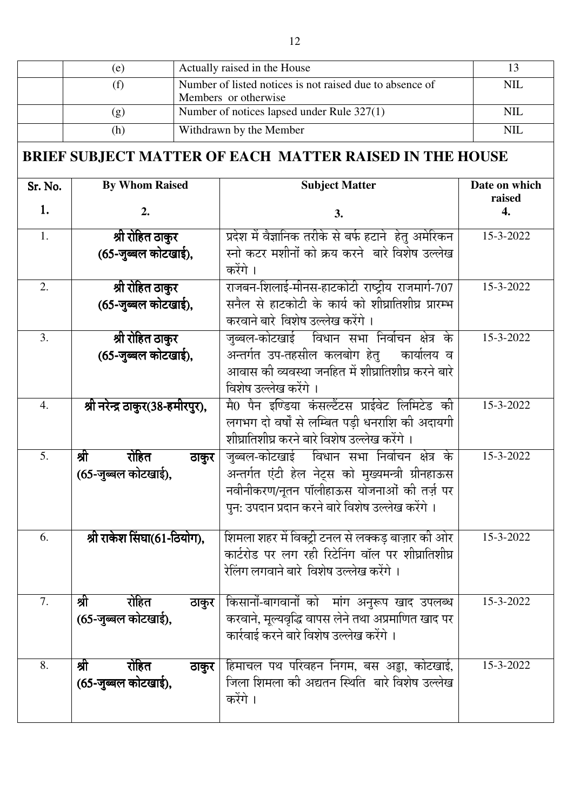|         | (e)                                                     |                                                                                  | Actually raised in the House                                                                                                                                                                        | 13                      |
|---------|---------------------------------------------------------|----------------------------------------------------------------------------------|-----------------------------------------------------------------------------------------------------------------------------------------------------------------------------------------------------|-------------------------|
|         | (f)                                                     | Number of listed notices is not raised due to absence of<br>Members or otherwise |                                                                                                                                                                                                     | <b>NIL</b>              |
|         | (g)                                                     | Number of notices lapsed under Rule 327(1)                                       | <b>NIL</b>                                                                                                                                                                                          |                         |
|         | (h)                                                     |                                                                                  | Withdrawn by the Member                                                                                                                                                                             | <b>NIL</b>              |
|         | BRIEF SUBJECT MATTER OF EACH MATTER RAISED IN THE HOUSE |                                                                                  |                                                                                                                                                                                                     |                         |
| Sr. No. | <b>By Whom Raised</b>                                   |                                                                                  | <b>Subject Matter</b>                                                                                                                                                                               | Date on which<br>raised |
| 1.      | 2.                                                      |                                                                                  | 3.                                                                                                                                                                                                  | 4.                      |
| 1.      | श्री रोहित ठाकुर                                        |                                                                                  | प्रदेश में वैज्ञानिक तरीके से बर्फ हटाने  हेतु अमेरिकन                                                                                                                                              | 15-3-2022               |
|         | (65-जुब्बल कोटखाई),                                     |                                                                                  | स्नो कटर मशीनों को क्रय करने बारे विशेष उल्लेख<br>करेंगे ।                                                                                                                                          |                         |
| 2.      | श्री रोहित ठाकुर<br>(65-जुब्बल कोटखाई),                 |                                                                                  | राजबन-शिलाई-मीनस-हाटकोटी राष्ट्रीय राजमार्ग-707<br>सनैल से हाटकोटी के कार्य को शीघ्रातिशीघ्र प्रारम्भ<br>करवाने बारे विशेष उल्लेख करेंगे ।                                                          | 15-3-2022               |
| 3.      | श्री रोहित ठाकुर<br>(65-जुब्बल कोटखाई),                 |                                                                                  | जुब्बल-कोटखाई विधान सभा निर्वाचन क्षेत्र के<br>अन्तर्गत उप-तहसील कलबोग हेतु कार्यालय व<br>आवास की व्यवस्था जनहित में शीघ्रातिशीघ्र करने बारे<br>विशेष उल्लेख करेंगे ।                               | 15-3-2022               |
| 4.      | श्री नरेन्द्र ठाकुर(38-हमीरपुर),                        |                                                                                  | मै0 पैन इण्डिया कंसल्टैंटस प्राईवेट लिमिटेड की<br>लगभग दो वर्षों से लम्बित पड़ी धनराशि की अदायगी<br>शीघ्रातिशीघ्र करने बारे विशेष उल्लेख करेंगे ।                                                   | 15-3-2022               |
| 5.      | श्री<br>रोहित<br>(65-जुब्बल कोटखाई),                    | ठाकुर                                                                            | जुब्बल-कोटखाई विधान सभा निर्वाचन क्षेत्र के<br>अन्तर्गत एंटी हेल नेट्स को मुख्यमन्त्री ग्रीनहाऊस<br>नवीनीकरण/नूतन पॉलीहाऊस योजनाओं की तर्ज़ पर<br>पुन: उपदान प्रदान करने बारे विशेष उल्लेख करेंगे । | 15-3-2022               |
| 6.      | श्री राकेश सिंघा(61-ठियोग),                             |                                                                                  | शिमला शहर में विक्ट्री टनल से लक्कड़ बाज़ार की ओर<br>कार्टरोड पर लग रही रिटेनिंग वॉल पर शीघ्रातिशीघ्र<br>रेलिंग लगवाने बारे  विशेष उल्लेख करेंगे ।                                                  | 15-3-2022               |
| 7.      | श्री<br>रोहित<br>(65-जुब्बल कोटखाई),                    | ठाकुर                                                                            | किसानों-बागवानों को  मांग अनुरूप खाद उपलब्ध<br>करवाने, मूल्यवृद्धि वापस लेने तथा अप्रमाणित खाद पर<br>कार्रवाई करने बारे विशेष उल्लेख करेंगे ।                                                       | 15-3-2022               |
| 8.      | श्री<br>रोहित<br>(65-जुब्बल कोटखाई),                    | ठाकुर                                                                            | हिमाचल पथ परिवहन निगम, बस अड्डा, कोटखाई,<br>जिला शिमला की अद्यतन स्थिति  बारे विशेष उल्लेख<br>करेंगे ।                                                                                              | 15-3-2022               |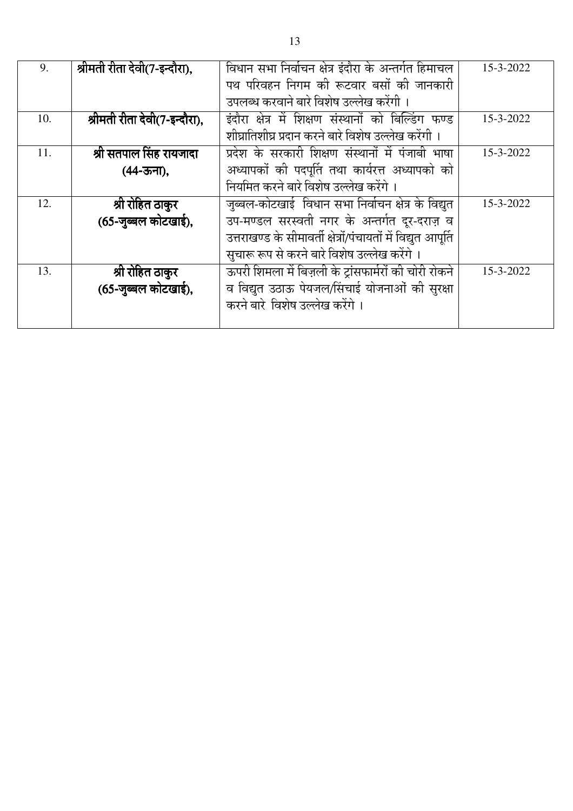| 9.  | श्रीमती रीता देवी(7-इन्दौरा), | विधान सभा निर्वाचन क्षेत्र इंदौरा के अन्तर्गत हिमाचल           | 15-3-2022 |
|-----|-------------------------------|----------------------------------------------------------------|-----------|
|     |                               | पथ परिवहन निगम की रूटवार बसों की जानकारी                       |           |
|     |                               | उपलब्ध करवाने बारे विशेष उल्लेख करेंगी ।                       |           |
| 10. | श्रीमती रीता देवी(7-इन्दौरा), | इंदौरा क्षेत्र में शिक्षण संस्थानों को बिल्डिंग फण्ड           | 15-3-2022 |
|     |                               | शीघ्रातिशीघ्र प्रदान करने बारे विशेष उल्लेख करेंगी ।           |           |
| 11. | श्री सतपाल सिंह रायजादा       | प्रदेश के सरकारी शिक्षण संस्थानों में पंजाबी भाषा              | 15-3-2022 |
|     | (44-ऊना),                     | अध्यापकों की पदपूर्ति तथा कार्यरत्त अध्यापको को                |           |
|     |                               | नियमित करने बारे विशेष उल्लेख करेंगे ।                         |           |
| 12. | श्री रोहित ठाकुर              | जुब्बल-कोटखाई  विधान सभा निर्वाचन क्षेत्र के विद्युत           | 15-3-2022 |
|     | (65-जुब्बल कोटखाई),           | उप-मण्डल सरस्वती नगर के अन्तर्गत दूर-दराज़ व                   |           |
|     |                               | उत्तराखण्ड के सीमावर्ती क्षेत्रों/पंचायतों में विद्युत आपूर्ति |           |
|     |                               | सुचारू रूप से करने बारे विशेष उल्लेख करेंगे ।                  |           |
| 13. | श्री रोहित ठाकुर              | ऊपरी शिमला में बिज़ली के ट्रांसफार्मरों की चोरी रोकने          | 15-3-2022 |
|     | (65-जुब्बल कोटखाई),           | व विद्युत उठाऊ पेयजल/सिंचाई योजनाओं की सुरक्षा                 |           |
|     |                               | करने बारे विशेष उल्लेख करेंगे।                                 |           |
|     |                               |                                                                |           |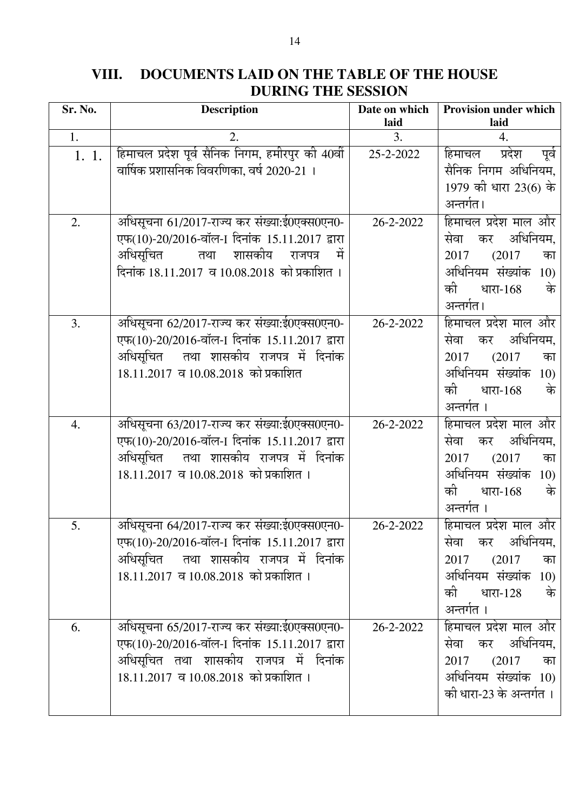| VIII. | DOCUMENTS LAID ON THE TABLE OF THE HOUSE |
|-------|------------------------------------------|
|       | <b>DURING THE SESSION</b>                |

| Sr. No. | <b>Description</b>                                                                                                                                                                         | Date on which<br>laid | Provision under which<br>laid                                                                                                        |
|---------|--------------------------------------------------------------------------------------------------------------------------------------------------------------------------------------------|-----------------------|--------------------------------------------------------------------------------------------------------------------------------------|
| 1.      | 2.                                                                                                                                                                                         | 3.                    | 4.                                                                                                                                   |
| 1.1.    | हिमाचल प्रदेश पूर्व सैनिक निगम, हमीरपुर की 40वीं<br>वार्षिक प्रशासनिक विवरणिका, वर्ष 2020-21 ।                                                                                             | 25-2-2022             | हिमाचल प्रदेश<br>पूर्व<br>सैनिक निगम अधिनियम,<br>1979 की धारा 23(6) के<br>अन्तर्गत।                                                  |
| 2.      | अधिसूचना 61/2017-राज्य कर संख्या:ई0एक्स0एन0-<br>एफ(10)-20/2016-वॉल-1 दिनांक 15.11.2017 द्वारा<br>अधिसूचित तथा शासकीय राजपत्र<br>- मे<br>दिनांक 18.11.2017 व 10.08.2018 को प्रकाशित।        | 26-2-2022             | हिमाचल प्रदेश माल और<br>अधिनियम,<br>सेवा<br>कर<br>(2017)<br>2017<br>का<br>अधिनियम संख्यांक 10)<br>की<br>के<br>धारा-168<br>अन्तर्गत।  |
| 3.      | अधिसूचना 62/2017-राज्य कर संख्या:ई0एक्स0एन0-<br>एफ(10)-20/2016-वॉल-1 दिनांक 15.11.2017 द्वारा<br>अधिसूचित तथा शासकीय राजपत्र में दिनांक<br>18.11.2017 व 10.08.2018 को प्रकाशित             | 26-2-2022             | हिमाचल प्रदेश माल और<br>कर अधिनियम,<br>सेवा<br>2017<br>(2017)<br>का<br>अधिनियम संख्यांक 10)<br>की<br>के<br>धारा-168<br>अन्तर्गत ।    |
| 4.      | अधिसूचना 63/2017-राज्य कर संख्या:ई0एक्स0एन0-<br>एफ(10)-20/2016-वॉल-1 दिनांक 15.11.2017 द्वारा<br>अधिसूचित   तथा  शासकीय  राजपत्र  में  दिनांक<br>18.11.2017 व 10.08.2018 को प्रकाशित ।     | 26-2-2022             | हिमाचल प्रदेश माल और<br>अधिनियम,<br>सेवा<br>कर<br>(2017)<br>2017<br>का<br>अधिनियम संख्यांक 10)<br>को<br>धारा-168<br>के<br>अन्तर्गत । |
| 5.      | अधिसूचना 64/2017-राज्य कर संख्या:ई0एक्स0एन0-<br>एफ(10)-20/2016-वॉल-1 दिनांक 15.11.2017 द्वारा<br>अधिसूचित   तथा  शासकीय  राजपत्र  में  दिनांक<br>$18.11.2017$ व $10.08.2018$ को प्रकाशित । | 26-2-2022             | हिमाचल प्रदेश माल और<br>सेवा कर अधिनियम,<br>$(2017$ का<br>2017<br>अधिनियम संख्यांक 10)<br>की धारा-128 के<br>अन्तर्गत ।               |
| 6.      | अधिसूचना 65/2017-राज्य कर संख्या:ई0एक्स0एन0-<br>एफ(10)-20/2016-वॉल-1 दिनांक 15.11.2017 द्वारा<br>अधिसूचित तथा शासकीय राजपत्र में दिनांक<br>$18.11.2017$ व 10.08.2018 को प्रकाशित ।         | 26-2-2022             | हिमाचल प्रदेश माल और<br>सेवा कर अधिनियम,<br>$(2017$ का<br>2017<br>अधिनियम संख्यांक 10)<br>को धारा-23 के अन्तर्गत ।                   |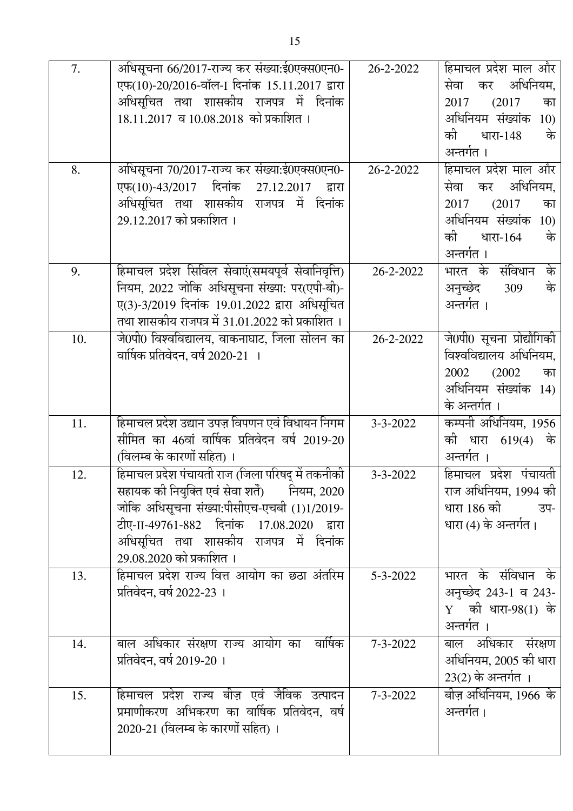| 7.  | अधिसूचना 66/2017-राज्य कर संख्या:ई0एक्स0एन0-<br>एफ(10)-20/2016-वॉल-1 दिनांक 15.11.2017 द्वारा<br>अधिसूचित तथा शासकीय राजपत्र में दिनांक<br>$18.11.2017$ व 10.08.2018 को प्रकाशित ।                                                                                     | 26-2-2022      | हिमाचल प्रदेश माल और<br>कर अधिनियम,<br>सेवा<br>(2017)<br>का<br>2017<br>अधिनियम संख्यांक 10)<br>के<br>की<br>धारा-148<br>अन्तर्गत ।    |
|-----|------------------------------------------------------------------------------------------------------------------------------------------------------------------------------------------------------------------------------------------------------------------------|----------------|--------------------------------------------------------------------------------------------------------------------------------------|
| 8.  | अधिसूचना 70/2017-राज्य कर संख्या:ई0एक्स0एन0-<br>एफ(10)-43/2017 दिनांक 27.12.2017<br>द्वारा<br>अधिसूचित तथा शासकीय राजपत्र में दिनांक<br>29.12.2017 को प्रकाशित ।                                                                                                       | 26-2-2022      | हिमाचल प्रदेश माल और<br>अधिनियम,<br>सेवा<br>कर<br>(2017)<br>2017<br>का<br>अधिनियम संख्यांक 10)<br>की<br>के<br>धारा-164<br>अन्तर्गत । |
| 9.  | हिमाचल प्रदेश सिविल सेवाएं(समयपूर्व सेवानिवृत्ति)<br>नियम, 2022 जोकि अधिसूचना संख्या: पर(एपी-बी)-<br>ए(3)-3/2019 दिनांक 19.01.2022 द्वारा अधिसूचित<br>तथा शासकीय राजपत्र में 31.01.2022 को प्रकाशित ।                                                                  | 26-2-2022      | भारत के संविधान के<br>के<br>अनुच्छेद<br>309<br>अन्तर्गत ।                                                                            |
| 10. | जे0पी0 विश्वविद्यालय, वाकनाघाट, जिला सोलन का<br>वार्षिक प्रतिवेदन, वर्ष 2020-21 ।                                                                                                                                                                                      | 26-2-2022      | जे0पी0 सूचना प्रोद्यौगिकी<br>विश्वविद्यालय अधिनियम,<br>2002<br>(2002)<br>का<br>अधिनियम संख्यांक 14)<br>के अन्तर्गत ।                 |
| 11. | हिमाचल प्रदेश उद्यान उपज़ विपणन एवं विधायन निगम<br>सीमित का 46वां वार्षिक प्रतिवेदन वर्ष 2019-20<br>(विलम्ब के कारणों सहित) ।                                                                                                                                          | $3 - 3 - 2022$ | कम्पनी अधिनियम, 1956<br>की धारा 619(4) के<br>अन्तर्गत ।                                                                              |
| 12. | हिमाचल प्रदेश पंचायती राज (जिला परिषद् में तकनीकी<br>सहायक की नियुक्ति एवं सेवा शर्ते)<br>नियम, 2020<br>जोकि अधिसूचना संख्या:पीसीएच-एचबी (1)1/2019-<br>टीए-II-49761-882 दिनांक 17.08.2020 द्वारा<br>अधिसूचित तथा शासकीय राजपत्र में दिनांक<br>29.08.2020 को प्रकाशित । | $3 - 3 - 2022$ | हिमाचल प्रदेश पंचायती<br>राज अधिनियम, 1994 को<br>धारा 186 को उप-<br>धारा (4) के अन्तर्गत।                                            |
| 13. | हिमाचल प्रदेश राज्य वित्त आयोग का छठा अंतरिम<br>प्रतिवेदन, वर्ष 2022-23 ।                                                                                                                                                                                              | $5 - 3 - 2022$ | भारत के संविधान के<br>अनुच्छेद 243-1 व 243-<br>$Y$ की धारा-98(1) के<br>अन्तर्गत ।                                                    |
| 14. | बाल अधिकार संरक्षण राज्य आयोग का  वाषिक<br>प्रतिवेदन, वर्ष 2019-20 ।                                                                                                                                                                                                   | $7 - 3 - 2022$ | बाल अधिकार संरक्षण<br>अधिनियम, 2005 को धारा<br>$23(2)$ के अन्तर्गत ।                                                                 |
| 15. | हिमाचल प्रदेश राज्य बीज़ एवं जैविक उत्पादन<br>प्रमाणीकरण अभिकरण का वार्षिक प्रतिवेदन, वर्ष<br>2020-21 (विलम्ब के कारणों सहित) ।                                                                                                                                        | $7 - 3 - 2022$ | बीज़ अधिनियम, 1966 के<br>अन्तर्गत।                                                                                                   |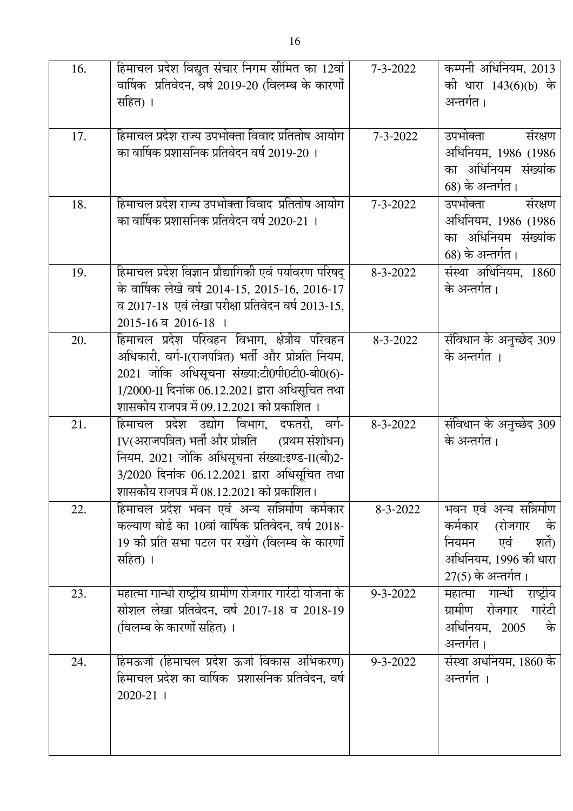| 16. | हिमाचल प्रदेश विद्युत संचार निगम सीमित का 12वां                                                     | $7 - 3 - 2022$ | कम्पनी अधिनियम, 2013                     |
|-----|-----------------------------------------------------------------------------------------------------|----------------|------------------------------------------|
|     | वार्षिक  प्रतिवेदन, वर्ष 2019-20 (विलम्ब के कारणों                                                  |                | को धारा 143(6)(b) के                     |
|     | सहित) ।                                                                                             |                | अन्तर्गत।                                |
|     |                                                                                                     |                |                                          |
| 17. | हिमाचल प्रदेश राज्य उपभोक्ता विवाद प्रतितोष आयोग                                                    | $7 - 3 - 2022$ | उपभोक्ता<br>संरक्षण                      |
|     | का वार्षिक प्रशासनिक प्रतिवेदन वर्ष 2019-20 ।                                                       |                | अधिनियम, 1986 (1986)                     |
|     |                                                                                                     |                | का अधिनियम संख्यांक                      |
|     |                                                                                                     |                | 68) के अन्तर्गत।                         |
| 18. | हिमाचल प्रदेश राज्य उपभोक्ता विवाद  प्रतितोष आयोग                                                   | $7 - 3 - 2022$ | उपभोक्ता<br>संरक्षण                      |
|     | का वार्षिक प्रशासनिक प्रतिवेदन वर्ष 2020-21 ।                                                       |                | अधिनियम, 1986 (1986                      |
|     |                                                                                                     |                | का अधिनियम संख्यांक                      |
|     |                                                                                                     |                | 68) के अन्तर्गत।                         |
| 19. | हिमाचल प्रदेश विज्ञान प्रौद्यागिकी एवं पर्यावरण परिषद्                                              | $8 - 3 - 2022$ | संस्था अधिनियम, 1860                     |
|     | के वार्षिक लेखे वर्ष 2014-15, 2015-16, 2016-17                                                      |                | के अन्तर्गत।                             |
|     | व 2017-18 एवं लेखा परीक्षा प्रतिवेदन वर्ष 2013-15,                                                  |                |                                          |
|     | 2015-16 व 2016-18 ।                                                                                 |                |                                          |
| 20. | हिमाचल प्रदेश परिवहन विभाग, क्षेत्रीय परिवहन<br>अधिकारी, वर्ग-1(राजपत्रित) भर्ती और प्रोन्नति नियम, | $8 - 3 - 2022$ | संविधान के अनुच्छेद 309<br>के अन्तर्गत । |
|     | 2021 जोकि अधिसूचना संख्या:टी0पी0टी0-बी0(6)-                                                         |                |                                          |
|     | 1/2000-II दिनांक 06.12.2021 द्वारा अधिसूचित तथा                                                     |                |                                          |
|     | शासकीय राजपत्र में 09.12.2021 को प्रकाशित ।                                                         |                |                                          |
| 21. | हिमाचल प्रदेश उद्योग विभाग, दफतरी, वर्ग-                                                            | $8 - 3 - 2022$ | संविधान के अनुच्छेद 309                  |
|     | IV(अराजपत्रित) भर्ती और प्रोन्नति<br>(प्रथम संशोधन)                                                 |                | के अन्तर्गत।                             |
|     | नियम, 2021 जोकि अधिसूचना संख्या:इण्ड-II(बी)2-                                                       |                |                                          |
|     | 3/2020 दिनांक 06.12.2021 द्वारा अधिसूचित तथा                                                        |                |                                          |
|     | शासकीय राजपत्र में 08.12.2021 को प्रकाशित।                                                          |                |                                          |
| 22. | हिमाचल प्रदेश भवन एवं अन्य सन्निर्माण कर्मकार                                                       | $8 - 3 - 2022$ | भवन एवं अन्य सन्निर्माण                  |
|     | कल्याण बोर्ड का 10वां वार्षिक प्रतिवेदन, वर्ष 2018-                                                 |                | कर्मकार (रोजगार के                       |
|     | 19 की प्रति सभा पटल पर रखेंगे (विलम्ब के कारणों                                                     |                | एवं शर्ते)<br>नियमन                      |
|     | सहित) ।                                                                                             |                | अधिनियम, 1996 को धारा                    |
|     |                                                                                                     |                | 27(5) के अन्तर्गत।                       |
| 23. | महात्मा गान्धी राष्ट्रीय ग्रामीण रोजगार गारंटी योजना के                                             | $9 - 3 - 2022$ | महात्मा गान्धी राष्ट्रीय                 |
|     | सोशल लेखा प्रतिवेदन, वर्ष 2017-18 व 2018-19                                                         |                | ग्रामीण रोजगार गारंटी                    |
|     | (विलम्ब के कारणों सहित) ।                                                                           |                | अधिनियम, 2005 के                         |
|     |                                                                                                     |                | अन्तर्गत।                                |
| 24. | हिमऊर्जा (हिमाचल प्रदेश ऊर्जा विकास अभिकरण)                                                         | $9 - 3 - 2022$ | संस्था अधनियम, 1860 के                   |
|     | हिमाचल प्रदेश का वार्षिक  प्रशासनिक प्रतिवेदन, वर्ष                                                 |                | अन्तर्गत ।                               |
|     | 2020-21 1                                                                                           |                |                                          |
|     |                                                                                                     |                |                                          |
|     |                                                                                                     |                |                                          |
|     |                                                                                                     |                |                                          |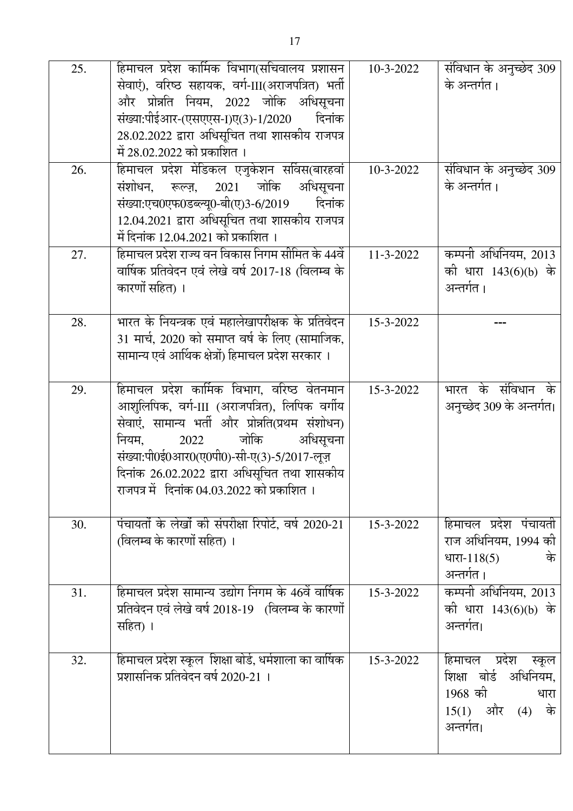| 25.<br>26. | हिमाचल प्रदेश कार्मिक विभाग(सचिवालय प्रशासन  <br>सेवाएं), वरिष्ठ सहायक, वर्ग-III(अराजपत्रित) भर्ती<br>और प्रोन्नति नियम, 2022 जोकि अधिसूचना<br>संख्या:पीईआर-(एसएएस-I)ए(3)-1/2020<br>दिनांक<br>28.02.2022 द्वारा अधिसूचित तथा शासकीय राजपत्र<br>में 28.02.2022 को प्रकाशित ।<br>हिमाचल प्रदेश मेडिकल एजुकेशन सर्विस(बारहवां  | $10-3-2022$<br>$10-3-2022$ | संविधान के अनुच्छेद 309<br>के अन्तर्गत।<br>संविधान के अनुच्छेद 309                                |
|------------|-----------------------------------------------------------------------------------------------------------------------------------------------------------------------------------------------------------------------------------------------------------------------------------------------------------------------------|----------------------------|---------------------------------------------------------------------------------------------------|
|            | संशोधन, रूल्ज़, 2021 जोकि अधिसूचना<br>संख्या:एच0एफ0डब्ल्यू0-बी(ए)3-6/2019<br>दिनांक<br>12.04.2021 द्वारा अधिसूचित तथा शासकीय राजपत्र<br>में दिनांक 12.04.2021 को प्रकाशित ।                                                                                                                                                 |                            | के अन्तर्गत।                                                                                      |
| 27.        | हिमाचल प्रदेश राज्य वन विकास निगम सीमित के 44वें  <br>वार्षिक प्रतिवेदन एवं लेखे वर्ष 2017-18 (विलम्ब के<br>कारणों सहित) ।                                                                                                                                                                                                  | $11-3-2022$                | कम्पनी अधिनियम, 2013<br>को धारा 143(6)(b) के<br>अन्तर्गत।                                         |
| 28.        | भारत के नियन्त्रक एवं महालेखापरीक्षक के प्रतिवेदन  <br>31 मार्च, 2020 को समाप्त वर्ष के लिए (सामाजिक,<br>सामान्य एवं आर्थिक क्षेत्रों) हिमाचल प्रदेश सरकार ।                                                                                                                                                                | 15-3-2022                  |                                                                                                   |
| 29.        | हिमाचल प्रदेश कार्मिक विभाग, वरिष्ठ वेतनमान<br>आशुलिपिक, वर्ग-III (अराजपत्रित), लिपिक वर्गीय<br>सेवाएं, सामान्य भर्ती और प्रोन्नति(प्रथम संशोधन)<br>2022 जोकि अधिसूचना<br>नियम,<br>संख्या:पी0ई0आर0(ए0पी0)-सी-ए(3)-5/2017-लूज़<br>दिनांक 26.02.2022 द्वारा अधिसूचित तथा शासकीय<br>राजपत्र में दिनांक 04.03.2022 को प्रकाशित। | 15-3-2022                  | भारत के संविधान के<br>अनुच्छेद 309 के अन्तर्गत।                                                   |
| 30.        | पंचायतों के लेखों की संपरीक्षा रिपोर्ट, वर्ष 2020-21<br>(विलम्ब के कारणों सहित) ।                                                                                                                                                                                                                                           | 15-3-2022                  | हिमाचल प्रदेश पंचायती<br>राज अधिनियम, 1994 को<br>धारा- $118(5)$<br>के<br>अन्तर्गत।                |
| 31.        | हिमाचल प्रदेश सामान्य उद्योग निगम के 46वें वार्षिक  <br>प्रतिवेदन एवं लेखे वर्ष 2018-19 (विलम्ब के कारणों<br>सहित) ।                                                                                                                                                                                                        | 15-3-2022                  | कम्पनी अधिनियम, 2013<br>को धारा 143(6)(b) के<br>अन्तर्गत।                                         |
| 32.        | हिमाचल प्रदेश स्कूल  शिक्षा बोर्ड, धर्मशाला का वार्षिक  <br>प्रशासनिक प्रतिवेदन वर्ष 2020-21 ।                                                                                                                                                                                                                              | 15-3-2022                  | हिमाचल प्रदेश स्कूल<br>शिक्षा बोर्ड अधिनियम,<br>1968 को<br>धारा<br>$15(1)$ और (4) के<br>अन्तर्गत। |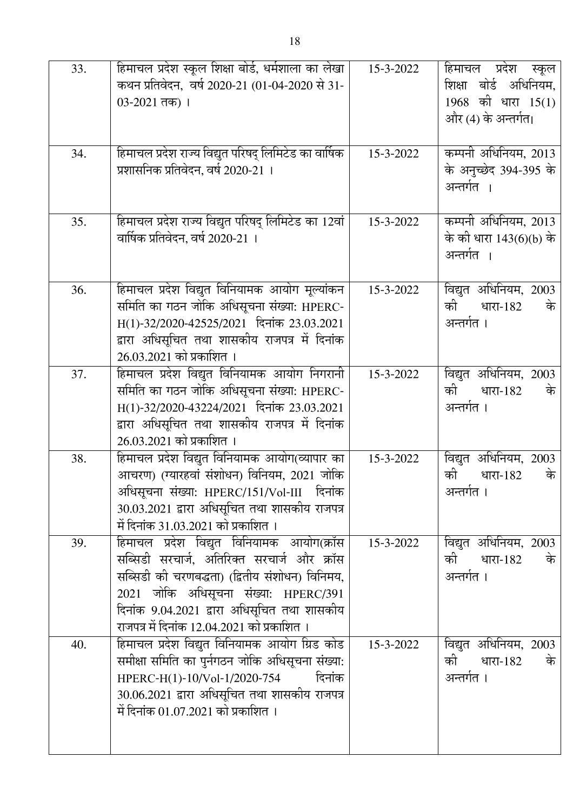| 33. | हिमाचल प्रदेश स्कूल शिक्षा बोर्ड, धर्मशाला का लेखा    | 15-3-2022 | हिमाचल प्रदेश स्कूल     |
|-----|-------------------------------------------------------|-----------|-------------------------|
|     | कथन प्रतिवेदन,  वर्ष 2020-21 (01-04-2020 से 31-       |           | शिक्षा बोर्ड अधिनियम,   |
|     | $03-2021$ तक) ।                                       |           | $1968$ की धारा $15(1)$  |
|     |                                                       |           | और (4) के अन्तर्गत।     |
|     |                                                       |           |                         |
| 34. | हिमाचल प्रदेश राज्य विद्युत परिषद् लिमिटेड का वार्षिक | 15-3-2022 | कम्पनी अधिनियम, 2013    |
|     | प्रशासनिक प्रतिवेदन, वर्ष 2020-21 ।                   |           | के अनुच्छेद 394-395 के  |
|     |                                                       |           | अन्तर्गत ।              |
|     |                                                       |           |                         |
| 35. | हिमाचल प्रदेश राज्य विद्युत परिषद् लिमिटेड का 12वां   | 15-3-2022 | कम्पनी अधिनियम, 2013    |
|     | वार्षिक प्रतिवेदन, वर्ष 2020-21 ।                     |           | के की धारा 143(6)(b) के |
|     |                                                       |           | अन्तर्गत ।              |
|     |                                                       |           |                         |
| 36. | हिमाचल प्रदेश विद्युत विनियामक आयोग मूल्यांकन         | 15-3-2022 | विद्युत अधिनियम, 2003   |
|     | समिति का गठन जोकि अधिसूचना संख्या: HPERC-             |           | की<br>धारा-182<br>के    |
|     | H(1)-32/2020-42525/2021 दिनांक 23.03.2021             |           | अन्तर्गत ।              |
|     | द्वारा अधिसूचित तथा शासकीय राजपत्र में दिनांक         |           |                         |
|     | 26.03.2021 को प्रकाशित ।                              |           |                         |
| 37. | हिमाचल प्रदेश विद्युत विनियामक आयोग निगरानी           | 15-3-2022 | विद्युत अधिनियम, 2003   |
|     | समिति का गठन जोकि अधिसूचना संख्या: HPERC-             |           | की<br>धारा-182<br>के    |
|     | H(1)-32/2020-43224/2021 दिनांक 23.03.2021             |           | अन्तर्गत ।              |
|     | द्वारा अधिसूचित तथा शासकीय राजपत्र में दिनांक         |           |                         |
|     | 26.03.2021 को प्रकाशित ।                              |           |                         |
| 38. | हिमाचल प्रदेश विद्युत विनियामक आयोग(व्यापार का        | 15-3-2022 | विद्युत अधिनियम, 2003   |
|     | आचरण) (ग्यारहवां संशोधन) विनियम, 2021 जोकि            |           | को<br>धारा-182<br>के    |
|     | अधिसूचना संख्या: HPERC/151/Vol-III दिनांक             |           | अन्तर्गत ।              |
|     | 30.03.2021 द्वारा अधिसूचित तथा शासकीय राजपत्र         |           |                         |
|     | में दिनांक 31.03.2021 को प्रकाशित ।                   |           |                         |
| 39. | हिमाचल प्रदेश विद्युत विनियामक आयोग(क्रॉस             | 15-3-2022 | विद्युत अधिनियम, 2003   |
|     | सब्सिडी सरचार्ज, अतिरिक्त सरचार्ज और क्रॉस            |           | की<br>धारा-182<br>के    |
|     | सब्सिडी की चरणबद्धता) (द्वितीय संशोधन) विनिमय,        |           | अन्तर्गत ।              |
|     | 2021 जोकि अधिसूचना संख्या: HPERC/391                  |           |                         |
|     | दिनांक 9.04.2021 द्वारा अधिसूचित तथा शासकीय           |           |                         |
|     | राजपत्र में दिनांक 12.04.2021 को प्रकाशित ।           |           |                         |
| 40. | हिमाचल प्रदेश विद्युत विनियामक आयोग ग्रिड कोड         | 15-3-2022 | विद्युत अधिनियम, 2003   |
|     | समीक्षा समिति का पुर्नगठन जोकि अधिसूचना संख्या:       |           | की<br>धारा-182<br>के    |
|     | HPERC-H(1)-10/Vol-1/2020-754<br>दिनांक                |           | अन्तर्गत ।              |
|     | 30.06.2021 द्वारा अधिसूचित तथा शासकीय राजपत्र         |           |                         |
|     | में दिनांक 01.07.2021 को प्रकाशित ।                   |           |                         |
|     |                                                       |           |                         |
|     |                                                       |           |                         |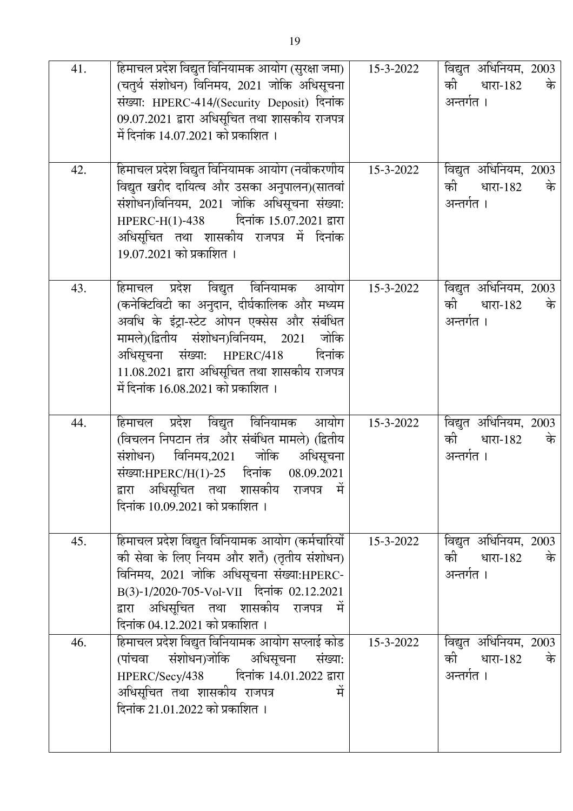| 41. | हिमाचल प्रदेश विद्युत विनियामक आयोग (सुरक्षा जमा)  <br>(चतुर्थ संशोधन) विनिमय, 2021 जोकि अधिसूचना<br>संख्या: HPERC-414/(Security Deposit) दिनांक<br>09.07.2021 द्वारा अधिसूचित तथा शासकीय राजपत्र<br>में दिनांक 14.07.2021 को प्रकाशित ।                                                                    | 15-3-2022 | विद्युत अधिनियम, 2003<br>की धारा-182<br>के<br>अन्तर्गत ।    |
|-----|-------------------------------------------------------------------------------------------------------------------------------------------------------------------------------------------------------------------------------------------------------------------------------------------------------------|-----------|-------------------------------------------------------------|
| 42. | हिमाचल प्रदेश विद्युत विनियामक आयोग (नवीकरणीय<br>विद्युत खरीद दायित्व और उसका अनुपालन)(सातवां<br>संशोधन)विनियम, 2021 जोकि अधिसूचना संख्या:<br>HPERC-H(1)-438 दिनांक 15.07.2021 द्वारा<br>अधिसूचित तथा शासकीय राजपत्र में दिनांक<br>19.07.2021 को प्रकाशित ।                                                 | 15-3-2022 | विद्युत अधिनियम, 2003<br>को धारा-182<br>के<br>अन्तर्गत ।    |
| 43. | हिमाचल प्रदेश विद्युत विनियामक आयोग<br>(कनेक्टिविटी का अनुदान, दीर्घकालिक और मध्यम<br>अवधि के इंट्रा-स्टेट ओपन एक्सेस और संबंधित<br>मामले)(द्वितीय संशोधन)विनियम, 2021 जोकि<br>अधिसूचना संख्या: HPERC/418<br>दिनांक<br>11.08.2021 द्वारा अधिसूचित तथा शासकीय राजपत्र<br>में दिनांक 16.08.2021 को प्रकाशित । | 15-3-2022 | विद्युत अधिनियम, 2003<br>की<br>धारा-182<br>के<br>अन्तर्गत । |
| 44. | हिमाचल प्रदेश विद्युत विनियामक आयोग<br>(विचलन निपटान तंत्र) और संबंधित मामले) (द्वितीय<br>विनिमय,2021 जोकि<br>अधिसूचना<br>संशोधन)<br>संख्या:HPERC/H(1)-25 दिनांक<br>08.09.2021<br>द्वारा अधिसूचित तथा शासकीय राजपत्र में<br>दिनांक 10.09.2021 को प्रकाशित ।                                                 | 15-3-2022 | विद्युत अधिनियम, 2003<br>की<br>के<br>धारा-182<br>अन्तर्गत । |
| 45. | हिमाचल प्रदेश विद्युत विनियामक आयोग (कर्मचारियों  <br>की सेवा के लिए नियम और शर्तें) (तृतीय संशोधन)<br>विनिमय, 2021 जोकि अधिसूचना संख्या:HPERC-<br>B(3)-1/2020-705-Vol-VII दिनांक 02.12.2021<br>द्वारा अधिसूचित तथा शासकीय राजपत्र में<br>दिनांक 04.12.2021 को प्रकाशित ।                                   | 15-3-2022 | विद्युत अधिनियम, 2003<br>की धारा-182 के<br>अन्तर्गत ।       |
| 46. | हिमाचल प्रदेश विद्युत विनियामक आयोग सप्लाई कोड<br>(पांचवा संशोधन)जोकि अधिसूचना<br>संख्या:<br>HPERC/Secy/438 दिनांक 14.01.2022 द्वारा<br>अधिसूचित तथा शासकीय राजपत्र<br>में<br>दिनांक 21.01.2022 को प्रकाशित ।                                                                                               | 15-3-2022 | विद्युत अधिनियम, 2003<br>को धारा-182<br>के<br>अन्तर्गत ।    |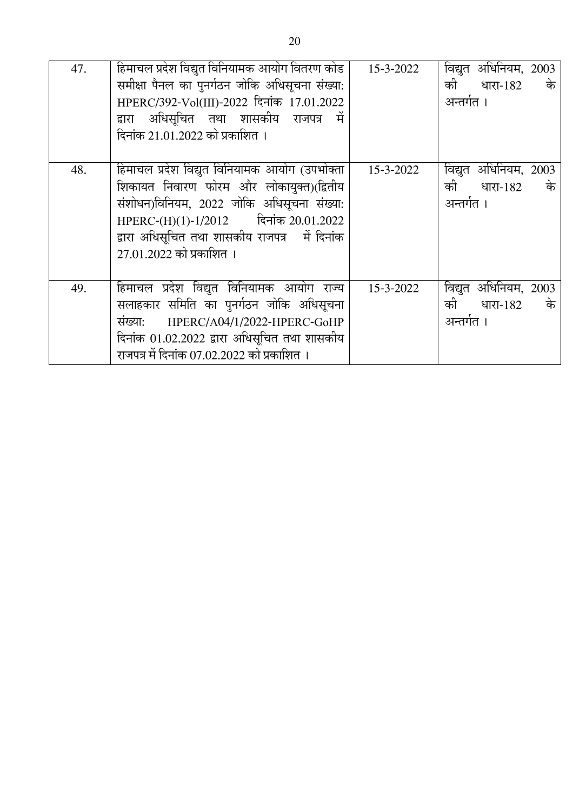| 47. | हिमाचल प्रदेश विद्युत विनियामक आयोग वितरण कोड<br>समीक्षा पैनल का पुनर्गठन जोकि अधिसूचना संख्या:<br>HPERC/392-Vol(III)-2022 दिनांक 17.01.2022<br>द्वारा अधिसूचित तथा शासकीय राजपत्र में<br>दिनांक 21.01.2022 को प्रकाशित ।                                    | 15-3-2022 | विद्युत अधिनियम, 2003<br>की धारा-182<br>के<br>अन्तर्गत । |
|-----|--------------------------------------------------------------------------------------------------------------------------------------------------------------------------------------------------------------------------------------------------------------|-----------|----------------------------------------------------------|
| 48. | हिमाचल प्रदेश विद्युत विनियामक आयोग (उपभोक्ता<br>शिकायत निवारण फोरम और लोकायुक्त)(द्वितीय<br>संशोधन)विनियम, 2022 जोकि अधिसूचना संख्या:<br>HPERC-(H)(1)-1/2012 दिनांक 20.01.2022<br>द्वारा अधिसूचित तथा शासकीय राजपत्र में दिनांक<br>27.01.2022 को प्रकाशित । | 15-3-2022 | विद्युत अधिनियम, 2003<br>की धारा-182<br>के<br>अन्तर्गत । |
| 49. | हिमाचल प्रदेश विद्युत विनियामक आयोग राज्य<br>सलाहकार समिति का पुनर्गठन जोकि अधिसूचना<br>HPERC/A04/1/2022-HPERC-GoHP<br>संख्या:<br>दिनांक 01.02.2022 द्वारा अधिसूचित तथा शासकीय<br>राजपत्र में दिनांक 07.02.2022 को प्रकाशित ।                                | 15-3-2022 | विद्युत अधिनियम, 2003<br>की धारा-182<br>के<br>अन्तर्गत । |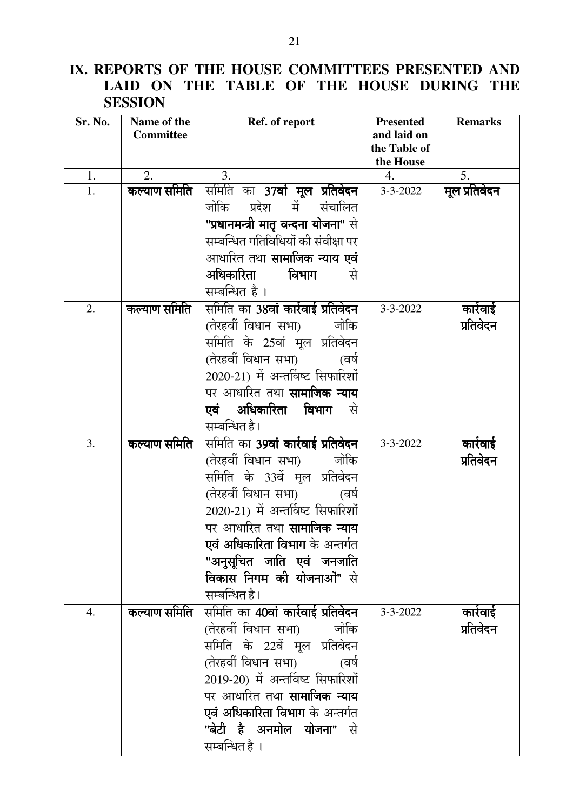## IX. REPORTS OF THE HOUSE COMMITTEES PRESENTED AND LAID ON THE TABLE OF THE HOUSE DURING THE **SESSION**

| Sr. No. | Name of the      | Ref. of report                            | <b>Presented</b>            | <b>Remarks</b> |
|---------|------------------|-------------------------------------------|-----------------------------|----------------|
|         | <b>Committee</b> |                                           | and laid on<br>the Table of |                |
|         |                  |                                           | the House                   |                |
| 1.      | 2.               | 3.                                        | 4.                          | 5.             |
| 1.      | कल्याण समिति     | समिति का 37वां मूल प्रतिवेदन              | $3 - 3 - 2022$              | मूल प्रतिवेदन  |
|         |                  | जोकि प्रदेश<br>में<br>संचालित             |                             |                |
|         |                  | "प्रधानमन्त्री मातृ वन्दना योजना" से      |                             |                |
|         |                  | सम्बन्धित गतिविधियों की संवीक्षा पर       |                             |                |
|         |                  | आधारित तथा <b>सामाजिक न्याय एवं</b>       |                             |                |
|         |                  | अधिकारिता<br>विभाग<br>से                  |                             |                |
|         |                  | सम्बन्धित है ।                            |                             |                |
| 2.      | कल्याण समिति     | समिति का 38वां कार्रवाई प्रतिवेदन         | $3 - 3 - 2022$              | कार्रवाई       |
|         |                  | (तेरहवीं विधान सभा)<br>जोकि               |                             | प्रतिवेदन      |
|         |                  | समिति के 25वां मूल प्रतिवेदन              |                             |                |
|         |                  | (तेरहवीं विधान सभा)<br>(वर्षे             |                             |                |
|         |                  | 2020-21) में अन्तर्विष्ट सिफारिशों        |                             |                |
|         |                  | पर आधारित तथा <b>सामाजिक न्याय</b>        |                             |                |
|         |                  | <b>एवं अधिकारिता विभाग</b> से             |                             |                |
|         |                  | सम्बन्धित है।                             |                             |                |
| 3.      | कल्याण समिति     | समिति का <b>39वां कार्रवाई प्रतिवेदन</b>  | $3 - 3 - 2022$              | कारेवाई        |
|         |                  | (तेरहवीं विधान सभा) जोकि                  |                             | प्रतिवेदन      |
|         |                  | समिति के 33वें मूल प्रतिवेदन              |                             |                |
|         |                  | (तेरहवीं विधान सभा)<br>(वर्षे             |                             |                |
|         |                  | 2020-21) में अन्तर्विष्ट सिफारिशों        |                             |                |
|         |                  | पर आधारित तथा <b>सामाजिक न्याय</b>        |                             |                |
|         |                  | <b>एवं अधिकारिता विभाग</b> के अन्तर्गत    |                             |                |
|         |                  | "अनुसूचित जाति एवं जनजाति                 |                             |                |
|         |                  | <b>विकास निगम की योजनाओं"</b> से          |                             |                |
|         |                  | सम्बन्धित है।                             |                             |                |
| 4.      | कल्याण समिति     | समिति का 40 <b>वां कार्रवाई प्रतिवेदन</b> | $3 - 3 - 2022$              | कारेवाई        |
|         |                  | (तेरहवीं विधान सभा)<br>जोकि               |                             | प्रतिवेदन      |
|         |                  | समिति के 22वें मूल प्रतिवेदन              |                             |                |
|         |                  | (तेरहवीं विधान सभा)<br>(वर्ष              |                             |                |
|         |                  | 2019-20) में अन्तर्विष्ट सिफारिशों        |                             |                |
|         |                  | पर आधारित तथा <b>सामाजिक न्याय</b>        |                             |                |
|         |                  | एवं अधिकारिता विभाग के अन्तर्गत           |                             |                |
|         |                  | " <b>बेटी है अनमोल योजना</b> " से         |                             |                |
|         |                  | सम्बन्धित है ।                            |                             |                |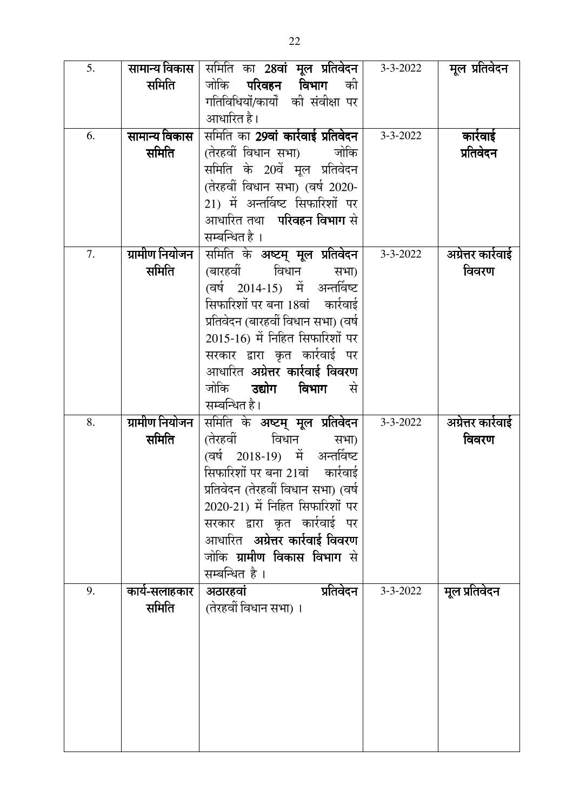| 5. | सामान्य विकास  | समिति का <b>28वां मूल प्रतिवेदन</b>       | $3 - 3 - 2022$ | मूल प्रतिवेदन      |
|----|----------------|-------------------------------------------|----------------|--------------------|
|    | समिति          | जोकि <b>परिवहन विभाग</b><br>की            |                |                    |
|    |                | गतिविधियों/कार्यों की संवीक्षा पर         |                |                    |
|    |                | आधारित है।                                |                |                    |
| 6. | सामान्य विकास  | समिति का 2 <b>9वां कार्रवाई प्रतिवेदन</b> | $3 - 3 - 2022$ | कार्रवाई           |
|    | समिति          | (तेरहवीं विधान सभा)<br>जोकि               |                | प्रतिवेदन          |
|    |                | समिति के 20वें मूल प्रतिवेदन              |                |                    |
|    |                | (तेरहवीं विधान सभा) (वर्ष 2020-           |                |                    |
|    |                | 21) में अन्तर्विष्ट सिफारिशों पर          |                |                    |
|    |                | आधारित तथा <b>परिवहन विभाग</b> से         |                |                    |
|    |                | सम्बन्धित है ।                            |                |                    |
| 7. | ग्रामीण नियोजन | समिति के अष्टम् मूल प्रतिवेदन             | $3 - 3 - 2022$ | अग्रेत्तर कारेवाई  |
|    | समिति          | (बारहवीं विधान<br>सभा)                    |                | विवरण              |
|    |                | (वर्ष 2014-15) में अन्तर्विष्ट            |                |                    |
|    |                | सिफारिशों पर बना 18वां कार्रवाई           |                |                    |
|    |                | प्रतिवेदन (बारहवीं विधान सभा) (वर्ष       |                |                    |
|    |                | 2015-16) में निहित सिफारिशों पर           |                |                    |
|    |                | सरकार द्वारा कृत कार्रवाई पर              |                |                    |
|    |                | आधारित <b>अग्रेत्तर कार्रवाई विवरण</b>    |                |                    |
|    |                | जोकि <b>उद्योग</b><br>विभाग<br>र से       |                |                    |
|    |                | सम्बन्धित है।                             |                |                    |
| 8. | ग्रामीण नियोजन | समिति के अष्टम् मूल प्रतिवेदन             | $3 - 3 - 2022$ | अग्रेत्तर कार्रवाई |
|    | समिति          | (तेरहवीं विधान<br>सभा)                    |                | विवरण              |
|    |                | (वर्ष 2018-19) में अन्तर्विष्ट            |                |                    |
|    |                | सिफारिशों पर बना 21वां कार्रवाई           |                |                    |
|    |                | प्रतिवेदन (तेरहवीं विधान सभा) (वर्ष       |                |                    |
|    |                | 2020-21) में निहित सिफारिशों पर           |                |                    |
|    |                | सरकार द्वारा कृत कार्रवाई पर              |                |                    |
|    |                | आधारित अ <b>ग्रेत्तर कार्रवाई विवरण</b>   |                |                    |
|    |                | जोकि <b>ग्रामीण विकास विभाग</b> से        |                |                    |
|    |                | सम्बन्धित है ।                            |                |                    |
| 9. | कार्य-सलाहकार  | अठारहवां<br>प्रतिवेदन                     | $3 - 3 - 2022$ | मूल प्रतिवेदन      |
|    | समिति          | (तेरहवीं विधान सभा) ।                     |                |                    |
|    |                |                                           |                |                    |
|    |                |                                           |                |                    |
|    |                |                                           |                |                    |
|    |                |                                           |                |                    |
|    |                |                                           |                |                    |
|    |                |                                           |                |                    |
|    |                |                                           |                |                    |
|    |                |                                           |                |                    |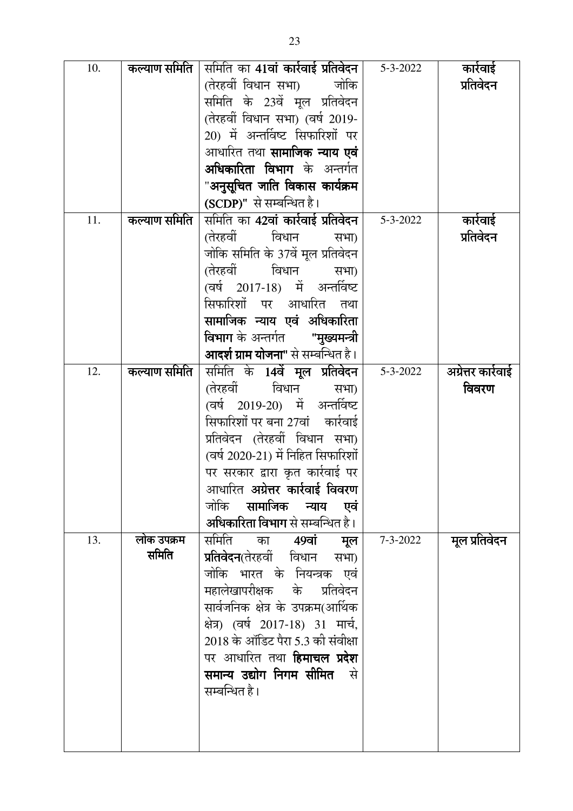| 10. | कल्याण समिति | समिति का 41 <b>वां कार्रवाई प्रतिवेदन</b>          | $5 - 3 - 2022$ | कार्रवाई           |
|-----|--------------|----------------------------------------------------|----------------|--------------------|
|     |              | (तेरहवीं विधान सभा)<br>जोकि                        |                | प्रतिवेदन          |
|     |              | समिति के 23वें मूल प्रतिवेदन                       |                |                    |
|     |              | (तेरहवीं विधान सभा) (वर्ष 2019-                    |                |                    |
|     |              | 20) में अन्तर्विष्ट सिफारिशों पर                   |                |                    |
|     |              | आधारित तथा <b>सामाजिक न्याय एवं</b>                |                |                    |
|     |              | <b>अधिकारिता विभाग</b> के अन्तर्गत                 |                |                    |
|     |              | "अनुसूचित जाति विकास कार्यक्रम                     |                |                    |
|     |              | (SCDP)" से सम्बन्धित है।                           |                |                    |
| 11. | कल्याण समिति | समिति का 4 <b>2वां कार्रवाई प्रतिवेदन</b>          | $5 - 3 - 2022$ | कारेवाई            |
|     |              | (तेरहवीं विधान<br>सभा)                             |                | प्रतिवेदन          |
|     |              | जोकि समिति के 37वें मूल प्रतिवेदन                  |                |                    |
|     |              | (तेरहवीं विधान<br>सभा)                             |                |                    |
|     |              | (वर्ष 2017-18) में अन्तर्विष्ट                     |                |                    |
|     |              | सिफारिशों पर आधारित तथा                            |                |                    |
|     |              | सामाजिक न्याय एवं अधिकारिता                        |                |                    |
|     |              | <b>विभाग</b> के अन्तर्गत     " <b>मुख्यमन्त्री</b> |                |                    |
|     |              | <b>आदर्श ग्राम योजना"</b> से सम्बन्धित है।         |                |                    |
| 12. | कल्याण समिति | समिति के 14 <b>वें मूल प्रतिवेदन</b>               | $5 - 3 - 2022$ | अग्रेत्तर कार्रवाई |
|     |              | (तेरहवीं)<br>विधान<br>सभा)                         |                | विवरण              |
|     |              | (वर्ष 2019-20) में अन्तर्विष्ट                     |                |                    |
|     |              | सिफारिशों पर बना 27वां कार्रवाई                    |                |                    |
|     |              | प्रतिवेदन (तेरहवीं विधान सभा)                      |                |                    |
|     |              | (वर्ष 2020-21) में निहित सिफारिशों                 |                |                    |
|     |              | पर सरकार द्वारा कृत कार्रवाई पर                    |                |                    |
|     |              | आधारित <b>अग्रेत्तर कार्रवाई विवरण</b>             |                |                    |
|     |              | जोकि <b>सामाजिक न्याय एवं</b>                      |                |                    |
|     |              | अधिकारिता विभाग से सम्बन्धित है।                   |                |                    |
| 13. | लोक उपक्रम   | समिति का <b>49वां</b><br>मूल                       | $7 - 3 - 2022$ | मूल प्रतिवेदन      |
|     | समिति        | <b>प्रतिवेदन</b> (तेरहवीं विधान सभा)               |                |                    |
|     |              | जोकि भारत के नियन्त्रक एवं                         |                |                    |
|     |              | महालेखापरीक्षक के प्रतिवेदन                        |                |                    |
|     |              | सार्वजनिक क्षेत्र के उपक्रम(आर्थिक                 |                |                    |
|     |              | क्षेत्र) (वर्ष 2017-18) 31 मार्च,                  |                |                    |
|     |              | 2018 के ऑडिट पैरा 5.3 की संवीक्षा                  |                |                    |
|     |              | पर आधारित तथा <b>हिमाचल प्रदेश</b>                 |                |                    |
|     |              | समान्य उद्योग निगम सीमित  से                       |                |                    |
|     |              | सम्बन्धित है।                                      |                |                    |
|     |              |                                                    |                |                    |
|     |              |                                                    |                |                    |
|     |              |                                                    |                |                    |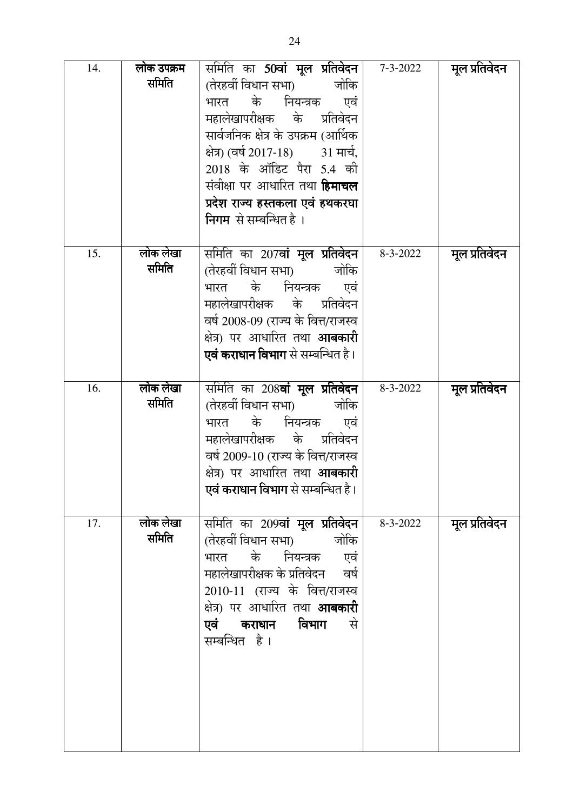| 14. | लोक उपक्रम<br>समिति | समिति का 50वां मूल प्रतिवेदन  <br>(तेरहवीं विधान सभा)         जोकि<br>भारत के नियन्त्रक एवं<br>महालेखापरीक्षक के प्रतिवेदन<br>सार्वजनिक क्षेत्र के उपक्रम (आर्थिक<br>क्षेत्र) (वर्ष 2017-18)           31 मार्च,<br>2018 के ऑडिट पैरा 5.4 की<br>संवीक्षा पर आधारित तथा <b>हिमाचल</b><br>प्रदेश राज्य हस्तकला एवं हथकरघा<br>निगम से सम्बन्धित है । | $7 - 3 - 2022$ | मूल प्रतिवेदन |
|-----|---------------------|---------------------------------------------------------------------------------------------------------------------------------------------------------------------------------------------------------------------------------------------------------------------------------------------------------------------------------------------------|----------------|---------------|
| 15. | लोक लेखा<br>समिति   | समिति का 207 <b>वां मूल प्रतिवेदन</b>  <br>(तेरहवीं विधान सभा) जोकि<br>भारत के नियन्त्रक एवं<br>महालेखापरीक्षक के प्रतिवेदन<br>वर्ष 2008-09 (राज्य के वित्त/राजस्व<br>क्षेत्र) पर आधारित तथा <b>आबकारी</b><br><b>एवं कराधान विभाग</b> से सम्बन्धित है।                                                                                            | 8-3-2022       | मूल प्रतिवेदन |
| 16. | लोक लेखा<br>समिति   | समिति का 208 <b>वां मूल प्रतिवेदन</b><br>(तेरहवीं विधान सभा) जोकि<br>भारत के नियन्त्रक एवं<br>महालेखापरीक्षक के प्रतिवेदन<br>वर्ष 2009-10 (राज्य के वित्त/राजस्व<br>क्षेत्र) पर आधारित तथा <b>आबकारी</b><br>एवं कराधान विभाग से सम्बन्धित है।                                                                                                     | 8-3-2022       | मूल प्रतिवेदन |
| 17. | लोक लेखा<br>समिति   | समिति का 209 <b>वां मूल प्रतिवेदन</b> ।<br>(तेरहवीं विधान सभा)         जोकि<br>भारत के नियन्त्रक एवं<br>महालेखापरीक्षक के प्रतिवेदन वर्ष<br>2010-11 (राज्य के वित्त/राजस्व<br>क्षेत्र) पर आधारित तथा <b>आबकारी</b><br>विभाग<br>एवं कराधान<br>से<br>सम्बन्धित है।                                                                                  | 8-3-2022       | मूल प्रतिवेदन |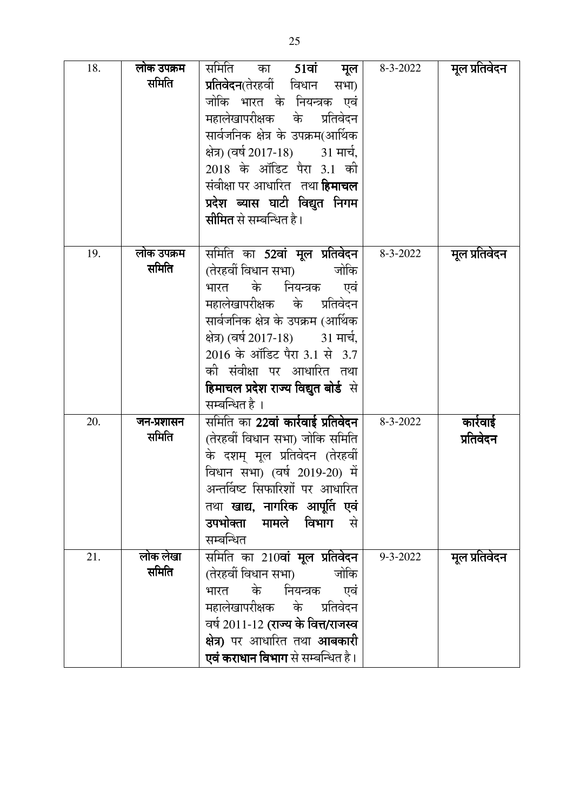| 18. | लोक उपक्रम<br>समिति | समिति का <b>51वां मूल</b><br><b>प्रतिवेदन</b> (तेरहवीं विधान सभा)<br>जोकि भारत के नियन्त्रक एवं<br>महालेखापरीक्षक के प्रतिवेदन<br>सार्वजनिक क्षेत्र के उपक्रम(आर्थिक<br>क्षेत्र) (वर्ष 2017-18)         31 मार्च,<br>2018 के ऑडिट पैरा 3.1 की<br>संवीक्षा पर आधारित   तथा <b>हिमाचल</b><br>प्रदेश ब्यास घाटी विद्युत निगम<br><b>सीमित</b> से सम्बन्धित है। | 8-3-2022       | मूल प्रतिवेदन        |
|-----|---------------------|------------------------------------------------------------------------------------------------------------------------------------------------------------------------------------------------------------------------------------------------------------------------------------------------------------------------------------------------------------|----------------|----------------------|
| 19. | लोक उपक्रम<br>समिति | समिति का <b>52वां मूल प्रतिवेदन</b><br>(तेरहवीं विधान सभा)         जोकि<br>भारत के नियन्त्रक एवं<br>महालेखापरीक्षक के प्रतिवेदन<br>सार्वजनिक क्षेत्र के उपक्रम (आर्थिक<br>क्षेत्र) (वर्ष 2017-18)         31 मार्च,<br>2016 के ऑडिट पैरा 3.1 से 3.7<br>को संवीक्षा पर आधारित तथा<br><b>हिमाचल प्रदेश राज्य विद्युत बोर्ड</b> से<br>सम्बन्धित है ।          | 8-3-2022       | मूल प्रतिवेदन        |
| 20. | जन-प्रशासन<br>समिति | समिति का 22वां कार्रवाई प्रतिवेदन<br>(तेरहवीं विधान सभा) जोकि समिति<br>के दशम् मूल प्रतिवेदन (तेरहवीं<br>विधान सभा) (वर्ष 2019-20) में<br>अन्तर्विष्ट सिफारिशों पर आधारित<br>तथा <b>खाद्य, नागरिक आपूर्ति एवं</b><br><b>उपभोक्ता मामले विभाग</b> से<br>सम्बन्धित                                                                                           | 8-3-2022       | कारेवाई<br>प्रतिवेदन |
| 21. | लोक लेखा<br>समिति   | समिति का 210 <b>वां मूल प्रतिवेदन</b><br>(तेरहवीं विधान सभा) जोकि<br>भारत के नियन्त्रक एवं<br>महालेखापरीक्षक के प्रतिवेदन<br>वर्ष 2011-12 (राज्य के वित्त/राजस्व<br><b>क्षेत्र)</b> पर आधारित तथा <b>आबकारी</b><br><b>एवं कराधान विभाग</b> से सम्बन्धित है।                                                                                                | $9 - 3 - 2022$ | मूल प्रतिवेदन        |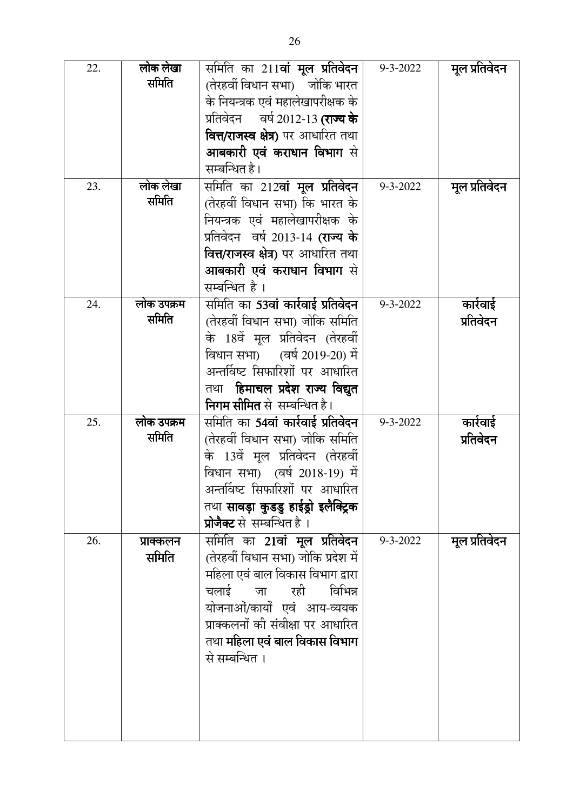| 22. | लोक लेखा   | समिति का 211 <b>वां मूल प्रतिवेदन</b>      | 9-3-2022       | मूल प्रतिवेदन |
|-----|------------|--------------------------------------------|----------------|---------------|
|     | समिति      | (तेरहवीं विधान सभा) जोकि भारत              |                |               |
|     |            | के नियन्त्रक एवं महालेखापरीक्षक के         |                |               |
|     |            | प्रतिवेदन वर्ष 2012-13 <b>(राज्य के</b>    |                |               |
|     |            | <b>वित्त/राजस्व क्षेत्र)</b> पर आधारित तथा |                |               |
|     |            | आबकारी एवं कराधान विभाग से                 |                |               |
|     |            | सम्बन्धित है।                              |                |               |
| 23. | लोक लेखा   | समिति का 212 <b>वां मूल प्रतिवेदन</b>      | $9 - 3 - 2022$ | मूल प्रतिवेदन |
|     | समिति      | (तेरहवीं विधान सभा) कि भारत के             |                |               |
|     |            | नियन्त्रक एवं महालेखापरीक्षक के            |                |               |
|     |            | प्रतिवेदन वर्ष 2013-14 (राज्य के           |                |               |
|     |            | <b>वित्त/राजस्व क्षेत्र)</b> पर आधारित तथा |                |               |
|     |            | <b>आबकारी एवं कराधान विभाग</b> से          |                |               |
|     |            | सम्बन्धित है।                              |                |               |
| 24. | लोक उपक्रम | समिति का <b>53वां कार्रवाई प्रतिवेदन</b>   | $9 - 3 - 2022$ | कार्रवाई      |
|     | समिति      | (तेरहवीं विधान सभा) जोकि समिति             |                | प्रतिवेदन     |
|     |            | के 18वें मूल प्रतिवेदन (तेरहवीं            |                |               |
|     |            | विधान सभा) (वर्ष 2019-20) में              |                |               |
|     |            | अन्तर्विष्ट सिफारिशों पर आधारित            |                |               |
|     |            | तथा हिमाचल प्रदेश राज्य विद्युत            |                |               |
|     |            | निगम सीमित से सम्बन्धित है।                |                |               |
| 25. | लोक उपक्रम | समिति का <b>54वां कार्रवाई प्रतिवेदन</b>   | $9 - 3 - 2022$ | कार्रवाई      |
|     | समिति      | (तेरहवीं विधान सभा) जोकि समिति             |                | प्रतिवेदन     |
|     |            | के 13वें मूल प्रतिवेदन (तेरहवीं            |                |               |
|     |            | विधान सभा) (वर्ष 2018-19) में              |                |               |
|     |            | अन्तर्विष्ट सिफारिशों पर आधारित            |                |               |
|     |            | तथा सावड़ा कुडडु हाईड्रो इलैक्ट्रिक        |                |               |
|     |            | प्रोजैक्ट से सम्बन्धित है ।                |                |               |
| 26. | प्राक्कलन  | समिति का 21 <b>वां मूल प्रतिवेदन</b>       | $9 - 3 - 2022$ | मूल प्रतिवेदन |
|     | समिति      | (तेरहवीं विधान सभा) जोकि प्रदेश में        |                |               |
|     |            | महिला एवं बाल विकास विभाग द्वारा           |                |               |
|     |            | चलाई जा रही<br>विभिन्न                     |                |               |
|     |            | योजनाओं/कार्यों एवं आय-व्ययक               |                |               |
|     |            | प्राक्कलनों की संवीक्षा पर आधारित          |                |               |
|     |            | तथा <b>महिला एवं बाल विकास विभाग</b>       |                |               |
|     |            | से सम्बन्धित ।                             |                |               |
|     |            |                                            |                |               |
|     |            |                                            |                |               |
|     |            |                                            |                |               |
|     |            |                                            |                |               |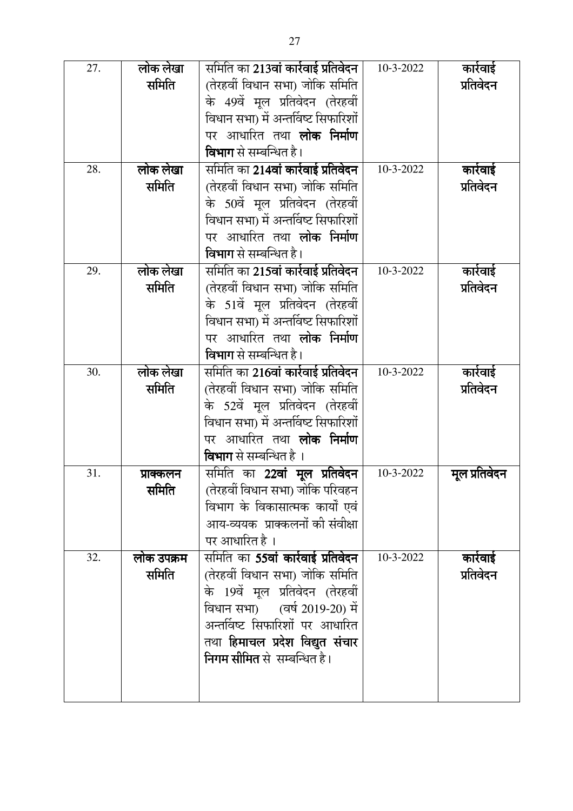| 27. | लोक लेखा   | समिति का <b>213वां कार्रवाई प्रतिवेदन</b>                        | 10-3-2022 | कार्रवाई      |
|-----|------------|------------------------------------------------------------------|-----------|---------------|
|     | समिति      | (तेरहवीं विधान सभा) जोकि समिति                                   |           | प्रतिवेदन     |
|     |            | के 49वें मूल प्रतिवेदन (तेरहवीं                                  |           |               |
|     |            | विधान सभा) में अन्तर्विष्ट सिफारिशों                             |           |               |
|     |            | पर आधारित तथा <b>लोक निर्माण</b>                                 |           |               |
|     |            | <b>विभाग</b> से सम्बन्धित है।                                    |           |               |
| 28. | लोक लेखा   | समिति का <b>214वां कार्रवाई प्रतिवेदन</b>                        | 10-3-2022 | कार्रवाई      |
|     | समिति      | (तेरहवीं विधान सभा) जोकि समिति                                   |           | प्रतिवेदन     |
|     |            | के 50वें मूल प्रतिवेदन (तेरहवीं                                  |           |               |
|     |            | विधान सभा) में अन्तर्विष्ट सिफारिशों                             |           |               |
|     |            | पर आधारित तथा <b>लोक निर्माण</b>                                 |           |               |
|     |            | <b>विभाग</b> से सम्बन्धित है।                                    |           |               |
| 29. | लोक लेखा   | समिति का 215वां कार्रवाई प्रतिवेदन                               | 10-3-2022 | कार्रवाई      |
|     | समिति      | (तेरहवीं विधान सभा) जोकि समिति                                   |           | प्रतिवेदन     |
|     |            | के 51वें मूल प्रतिवेदन (तेरहवीं                                  |           |               |
|     |            | विधान सभा) में अन्तर्विष्ट सिफारिशों                             |           |               |
|     |            | पर आधारित तथा <b>लोक निर्माण</b>                                 |           |               |
|     |            | <b>विभाग</b> से सम्बन्धित है।                                    |           |               |
| 30. | लोक लेखा   | समिति का 21 <b>6वां कार्रवाई प्रतिवेदन</b>                       | 10-3-2022 | कार्रवाई      |
|     | समिति      | (तेरहवीं विधान सभा) जोकि समिति                                   |           | प्रतिवेदन     |
|     |            | के 52वें मूल प्रतिवेदन (तेरहवीं                                  |           |               |
|     |            | विधान सभा) में अन्तर्विष्ट सिफारिशों                             |           |               |
|     |            | पर आधारित तथा <b>लोक निर्माण</b>                                 |           |               |
|     |            | विभाग से सम्बन्धित है ।                                          |           |               |
| 31. | प्राक्कलन  | समिति का 22 <b>वां मूल प्रतिवेदन</b>                             | 10-3-2022 | मूल प्रतिवेदन |
|     | समिति      | (तेरहवीं विधान सभा) जोकि परिवहन                                  |           |               |
|     |            | विभाग के विकासात्मक कार्यों एवं                                  |           |               |
|     |            | आय-व्ययक  प्राक्कलनों को संवीक्षा                                |           |               |
|     |            | पर आधारित है ।                                                   |           |               |
| 32. | लोक उपक्रम | समिति का <b>55वां कार्रवाई प्रतिवेदन</b>                         | 10-3-2022 | कार्रवाई      |
|     | समिति      | (तेरहवीं विधान सभा) जोकि समिति                                   |           | प्रतिवेदन     |
|     |            | के 19वें मूल प्रतिवेदन (तेरहवीं                                  |           |               |
|     |            | विधान सभा) (वर्ष 2019-20) में<br>अन्तर्विष्ट सिफारिशों पर आधारित |           |               |
|     |            |                                                                  |           |               |
|     |            | तथा हिमाचल प्रदेश विद्युत संचार<br>निगम सीमित से  सम्बन्धित है।  |           |               |
|     |            |                                                                  |           |               |
|     |            |                                                                  |           |               |
|     |            |                                                                  |           |               |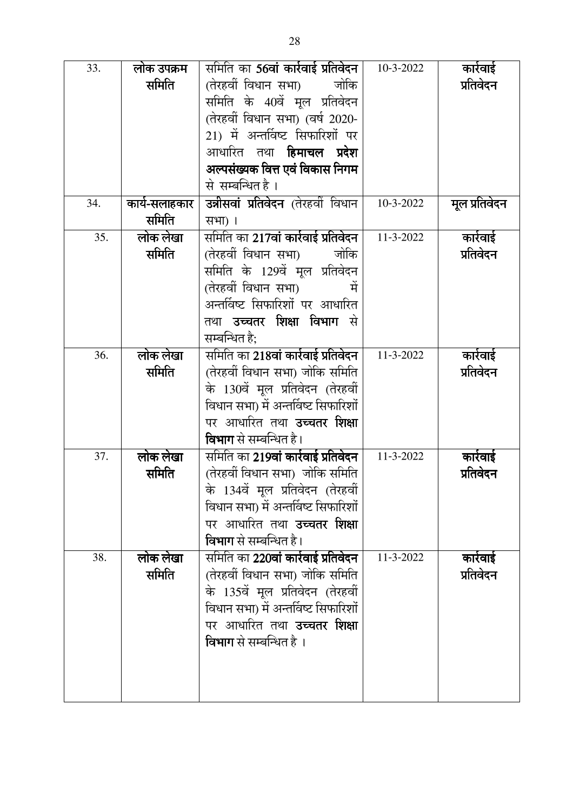| 33. | लोक उपक्रम    | र्सामेति का <b>56वां कार्रवाई प्रतिवेदन</b> | 10-3-2022 | कारेवाई       |
|-----|---------------|---------------------------------------------|-----------|---------------|
|     | समिति         | (तेरहवीं विधान सभा)<br>जोकि                 |           | प्रतिवेदन     |
|     |               | समिति के 40वें मूल प्रतिवेदन                |           |               |
|     |               | (तेरहवीं विधान सभा) (वर्ष 2020-             |           |               |
|     |               | 21) में अन्तर्विष्ट सिफारिशों पर            |           |               |
|     |               | आधारित तथा <b>हिमाचल प्रदेश</b>             |           |               |
|     |               | अल्पसंख्यक वित्त एवं विकास निगम             |           |               |
|     |               | से सम्बन्धित है।                            |           |               |
| 34. | कार्य-सलाहकार | <b>उन्नीसवां प्रतिवेदन</b> (तेरहवीं विधान)  | 10-3-2022 | मूल प्रतिवेदन |
|     | समिति         | सभा) ।                                      |           |               |
| 35. | लोक लेखा      | समिति का 217 <b>वां कार्रवाई प्रतिवेदन</b>  | 11-3-2022 | कार्रवाई      |
|     | समिति         | (तेरहवीं विधान सभा)<br>जोकि                 |           | प्रतिवेदन     |
|     |               | समिति के 129वें मूल प्रतिवेदन               |           |               |
|     |               | (तेरहवीं विधान सभा)                         |           |               |
|     |               | अन्तर्विष्ट सिफारिशों पर आधारित             |           |               |
|     |               | तथा <b>उच्चतर शिक्षा विभाग</b> से           |           |               |
|     |               | सम्बन्धित है:                               |           |               |
| 36. | लोक लेखा      | समिति का 218 <b>वां कार्रवाई प्रतिवेदन</b>  | 11-3-2022 | कार्रवाई      |
|     | समिति         | (तेरहवीं विधान सभा) जोकि समिति              |           | प्रतिवेदन     |
|     |               | के 130वें मूल प्रतिवेदन (तेरहवीं            |           |               |
|     |               | विधान सभा) में अन्तर्विष्ट सिफारिशों        |           |               |
|     |               | पर आधारित तथा <b>उच्चतर शिक्षा</b>          |           |               |
|     |               | <b>विभाग</b> से सम्बन्धित है।               |           |               |
| 37. | लोक लेखा      | समिति का <b>219वां कार्रवाई प्रतिवेदन</b>   | 11-3-2022 | कार्रवाई      |
|     | समिति         | (तेरहवीं विधान सभा)  जोकि समिति             |           | प्रतिवेदन     |
|     |               | के 134वें मूल प्रतिवेदन (तेरहवीं            |           |               |
|     |               | विधान सभा) में अन्तर्विष्ट सिफारिशों        |           |               |
|     |               | पर आधारित तथा <b>उच्चतर शिक्षा</b>          |           |               |
|     |               | विभाग से सम्बन्धित है।                      |           |               |
| 38. | लोक लेखा      | समिति का <b>220वां कार्रवाई प्रतिवेदन</b>   | 11-3-2022 | कारेवाई       |
|     | समिति         | (तेरहवीं विधान सभा) जोकि समिति              |           | प्रतिवेदन     |
|     |               | के 135वें मूल प्रतिवेदन (तेरहवीं            |           |               |
|     |               | विधान सभा) में अन्तर्विष्ट सिफारिशों        |           |               |
|     |               | पर आधारित तथा <b>उच्चतर शिक्षा</b>          |           |               |
|     |               | <b>विभाग</b> से सम्बन्धित है ।              |           |               |
|     |               |                                             |           |               |
|     |               |                                             |           |               |
|     |               |                                             |           |               |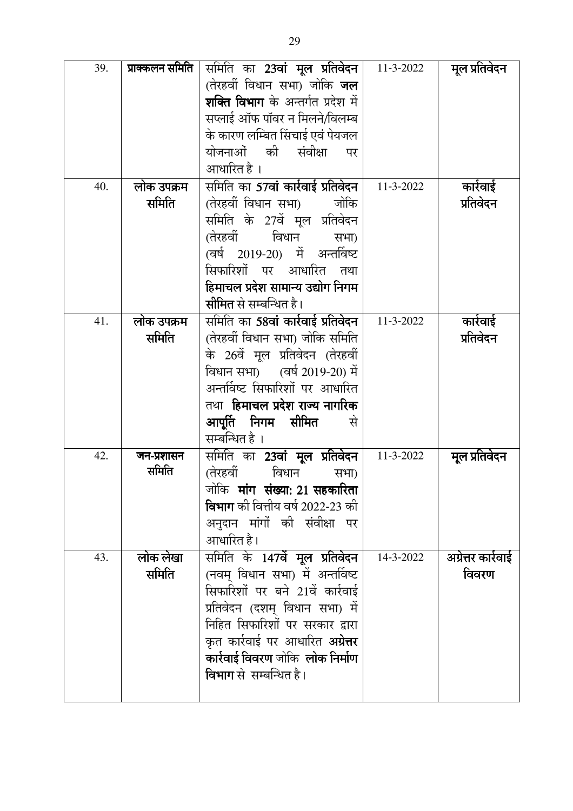| 39. | प्राक्कलन समिति     | समिति का <b>23वां मूल प्रतिवेदन</b>                                      | 11-3-2022 | मूल प्रतिवेदन     |
|-----|---------------------|--------------------------------------------------------------------------|-----------|-------------------|
|     |                     | (तेरहवीं विधान सभा) जोकि <b>जल</b>                                       |           |                   |
|     |                     | <b>शक्ति विभाग</b> के अन्तर्गत प्रदेश में                                |           |                   |
|     |                     | सप्लाई ऑफ पॉवर न मिलने/विलम्ब                                            |           |                   |
|     |                     | के कारण लम्बित सिंचाई एवं पेयजल                                          |           |                   |
|     |                     | योजनाओं की संवीक्षा<br>पर                                                |           |                   |
|     |                     | आधारित है ।                                                              |           |                   |
| 40. | लोक उपक्रम          | समिति का 57वां कार्रवाई प्रतिवेदन                                        | 11-3-2022 | कारेवाई           |
|     | समिति               | (तेरहवीं विधान सभा)<br>जोकि                                              |           | प्रतिवेदन         |
|     |                     | समिति के 27वें मूल प्रतिवेदन                                             |           |                   |
|     |                     | (तेरहवीं)<br>विधान<br>सभा)                                               |           |                   |
|     |                     | (वर्ष 2019-20) में अन्तर्विष्ट                                           |           |                   |
|     |                     | सिफारिशों पर आधारित तथा                                                  |           |                   |
|     |                     | हिमाचल प्रदेश सामान्य उद्योग निगम                                        |           |                   |
|     |                     | सीमित से सम्बन्धित है।                                                   |           |                   |
| 41. | लोक उपक्रम          | समिति का <b>58वां कार्रवाई प्रतिवेदन</b>                                 | 11-3-2022 | कार्रवाई          |
|     | समिति               | (तेरहवीं विधान सभा) जोकि समिति                                           |           | प्रतिवेदन         |
|     |                     | के 26वें मूल प्रतिवेदन (तेरहवीं                                          |           |                   |
|     |                     | विधान सभा) (वर्ष 2019-20) में                                            |           |                   |
|     |                     | अन्तर्विष्ट सिफारिशों पर आधारित                                          |           |                   |
|     |                     | तथा <b>हिमाचल प्रदेश राज्य नागरिक</b>                                    |           |                   |
|     |                     | आपूर्ति निगम सीमित<br>से                                                 |           |                   |
|     |                     | सम्बन्धित है ।                                                           |           |                   |
| 42. | जन-प्रशासन<br>समिति | समिति का 23 <b>वां मूल प्रतिवेदन</b>                                     | 11-3-2022 | मूल प्रतिवेदन     |
|     |                     | (तेरहवीं)<br>विधान<br>सभा)                                               |           |                   |
|     |                     | जोकि <b>मांग संख्या: 21 सहकारिता</b><br>विभाग की वित्तीय वर्ष 2022-23 की |           |                   |
|     |                     |                                                                          |           |                   |
|     |                     | अनुदान मांगों की संवीक्षा पर<br>आधारित है।                               |           |                   |
| 43. | लोक लेखा            | समिति के 147वें मूल प्रतिवेदन                                            | 14-3-2022 |                   |
|     | समिति               | (नवम् विधान सभा) में अन्तर्विष्ट                                         |           | अग्रेत्तर कारेवाई |
|     |                     | सिफारिशों पर बने 21वें कार्रवाई                                          |           | विवरण             |
|     |                     | प्रतिवेदन (दशम् विधान सभा) में                                           |           |                   |
|     |                     | निहित सिफारिशों पर सरकार द्वारा                                          |           |                   |
|     |                     | कृत कार्रवाई पर आधारित <b>अग्रेत्तर</b>                                  |           |                   |
|     |                     | कार्रवाई विवरण जोकि लोक निर्माण                                          |           |                   |
|     |                     | <b>विभाग</b> से सम्बन्धित है।                                            |           |                   |
|     |                     |                                                                          |           |                   |
|     |                     |                                                                          |           |                   |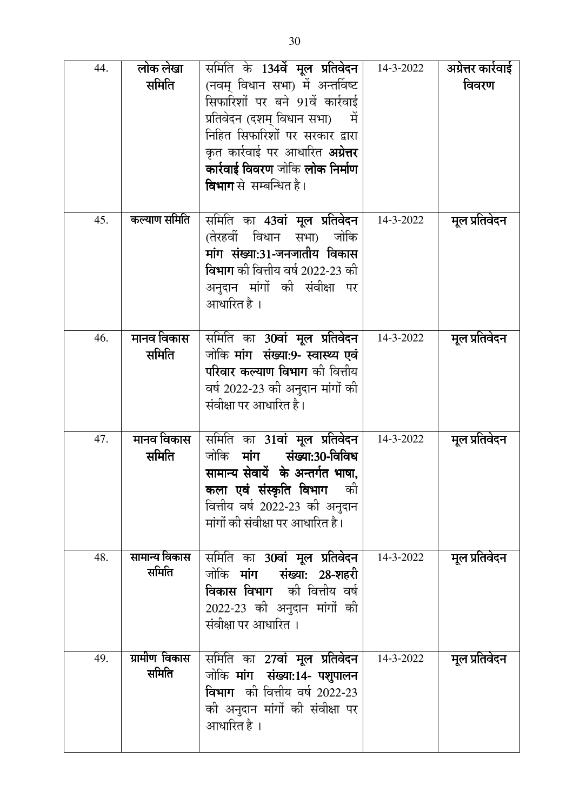| 44. | लोक लेखा<br>समिति      | समिति के 134 <b>वें मूल प्रतिवेदन</b>  <br>(नवम् विधान सभा) में अन्तर्विष्ट<br>सिफारिशों पर बने 91वें कार्रवाई<br>प्रतिवेदन (दशम् विधान सभा)<br>में<br>निहित सिफारिशों पर सरकार द्वारा<br>कृत कार्रवाई पर आधारित <b>अग्रेत्तर</b><br>कार्रवाई विवरण जोकि लोक निर्माण<br><b>विभाग</b> से  सम्बन्धित है। | 14-3-2022 | अग्रेत्तर कारेवाई<br>विवरण |
|-----|------------------------|--------------------------------------------------------------------------------------------------------------------------------------------------------------------------------------------------------------------------------------------------------------------------------------------------------|-----------|----------------------------|
| 45. | कल्याण समिति           | समिति का <b>43वां मूल प्रतिवेदन</b><br>जोकि<br>(तेरहवीं विधान सभा)<br>मांग संख्या:31-जनजातीय विकास<br><b>विभाग</b> की वित्तीय वर्ष 2022-23 की<br>अनुदान मांगों की संवीक्षा पर<br>आधारित है ।                                                                                                           | 14-3-2022 | मूल प्रतिवेदन              |
| 46. | मानव विकास<br>समिति    | समिति का 3 <b>0वां मूल प्रतिवेदन</b><br>जोकि <b>मांग  संख्या:9- स्वास्थ्य एवं</b><br><b>परिवार कल्याण विभाग</b> की वित्तीय<br>वर्ष 2022-23 की अनुदान मांगों की<br>संवीक्षा पर आधारित है।                                                                                                               | 14-3-2022 | मूल प्रतिवेदन              |
| 47. | मानव विकास<br>समिति    | समिति का 31 <b>वां मूल प्रतिवेदन</b><br>जोकि मांग संख्या:30-विविध<br>सामान्य सेवायें  के अन्तर्गत भाषा,<br>कला एवं संस्कृति विभाग को<br>वित्तीय वर्ष 2022-23 की अनुदान<br>मांगों की संवीक्षा पर आधारित है।                                                                                             | 14-3-2022 | मूल प्रतिवेदन              |
| 48. | सामान्य विकास<br>समिति | समिति का <b>30वां मूल प्रतिवेदन</b><br>जोकि मांग संख्या: 28-शहरी<br><b>विकास विभाग</b> की वित्तीय वर्ष<br>2022-23 की अनुदान मांगों की<br>संवीक्षा पर आधारित ।                                                                                                                                          | 14-3-2022 | मूल प्रतिवेदन              |
| 49. | ग्रामीण विकास<br>समिति | समिति का 27वां मूल प्रतिवेदन<br>जोकि मांग संख्या:14- पशुपालन<br><b>विभाग</b> को वित्तीय वर्ष 2022-23<br>की अनुदान मांगों की संवीक्षा पर<br>आधारित है ।                                                                                                                                                 | 14-3-2022 | मूल प्रतिवेदन              |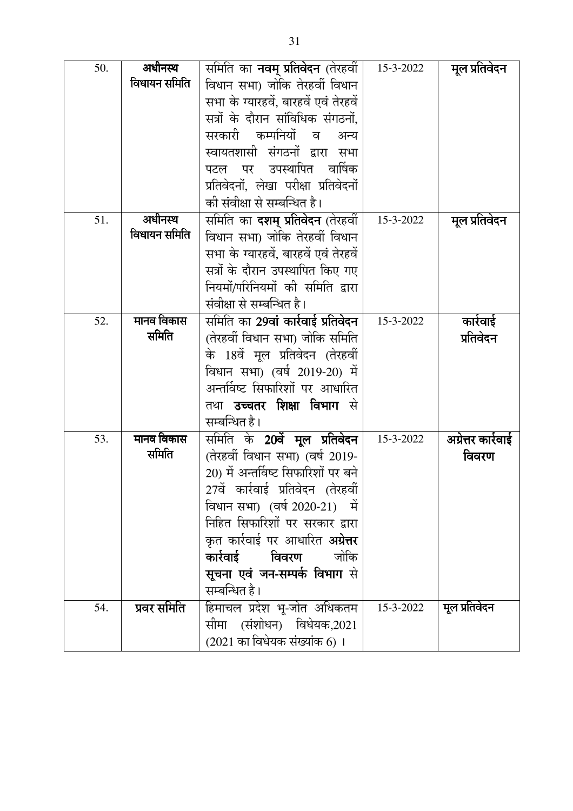| 50. | अधीनस्थ      | समिति का <b>नवम् प्रतिवेदन</b> (तेरहवीं  | 15-3-2022 | मूल प्रतिवेदन     |
|-----|--------------|------------------------------------------|-----------|-------------------|
|     | विधायन समिति | विधान सभा) जोकि तेरहवीं विधान            |           |                   |
|     |              | सभा के ग्यारहवें, बारहवें एवं तेरहवें    |           |                   |
|     |              | सत्रों के दौरान सांविधिक संगठनों,        |           |                   |
|     |              | सरकारी कम्पनियों<br>व<br>अन्य            |           |                   |
|     |              | स्वायतशासी संगठनों द्वारा<br>सभा         |           |                   |
|     |              | वार्षिक<br>उपस्थापित<br>पर<br>पटल        |           |                   |
|     |              | प्रतिवेदनों, लेखा परीक्षा प्रतिवेदनों    |           |                   |
|     |              | की संवीक्षा से सम्बन्धित है।             |           |                   |
| 51. | अधीनस्थ      | समिति का <b>दशम् प्रतिवेदन</b> (तेरहवीं  | 15-3-2022 | मूल प्रतिवेदन     |
|     | विधायन समिति | विधान सभा) जोकि तेरहवीं विधान            |           |                   |
|     |              | सभा के ग्यारहवें, बारहवें एवं तेरहवें    |           |                   |
|     |              | सत्रों के दौरान उपस्थापित किए गए         |           |                   |
|     |              | नियमों/परिनियमों की समिति द्वारा         |           |                   |
|     |              | संवीक्षा से सम्बन्धित है।                |           |                   |
| 52. | मानव विकास   | समिति का <b>29वां कार्रवाई प्रतिवेदन</b> | 15-3-2022 | कारेवाई           |
|     | समिति        | (तेरहवीं विधान सभा) जोकि समिति           |           | प्रतिवेदन         |
|     |              | के 18वें मूल प्रतिवेदन (तेरहवीं          |           |                   |
|     |              | विधान सभा) (वर्ष 2019-20) में            |           |                   |
|     |              | अन्तर्विष्ट सिफारिशों पर आधारित          |           |                   |
|     |              | तथा <b>उच्चतर शिक्षा विभाग</b> से        |           |                   |
|     |              | सम्बन्धित है।                            |           |                   |
| 53. | मानव विकास   | समिति के 20वें <b>मूल प्रतिवेदन</b>      | 15-3-2022 | अग्रेत्तर कारेवाई |
|     | समिति        | (तेरहवीं विधान सभा) (वर्ष 2019-          |           | विवरण             |
|     |              | 20) में अन्तर्विष्ट सिफारिशों पर बने     |           |                   |
|     |              | 27वें कार्रवाई प्रतिवेदन (तेरहवीं        |           |                   |
|     |              | विधान सभा) (वर्ष 2020-21) में            |           |                   |
|     |              | निहित सिफारिशों पर सरकार द्वारा          |           |                   |
|     |              | कृत कार्रवाई पर आधारित <b>अग्रेत्तर</b>  |           |                   |
|     |              | कार्रवाई<br>विवरण<br>जोकि                |           |                   |
|     |              | सूचना एवं जन-सम्पर्क विभाग से            |           |                   |
|     |              | सम्बन्धित है।                            |           |                   |
| 54. | प्रवर समिति  | हिमाचल प्रदेश भू-जोत अधिकतम              | 15-3-2022 | मूल प्रतिवेदन     |
|     |              | सीमा (संशोधन) विधेयक,2021                |           |                   |
|     |              | (2021 का विधेयक संख्यांक 6) ।            |           |                   |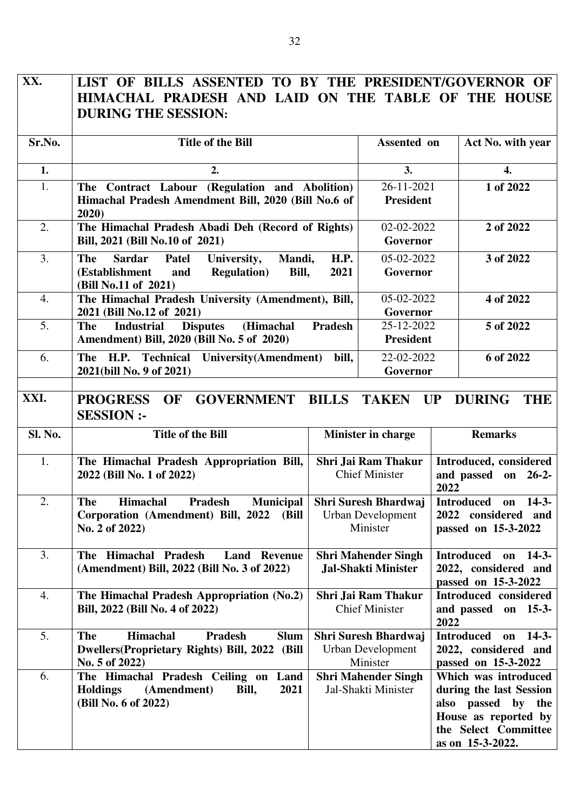| XX.              | LIST OF BILLS ASSENTED TO BY THE PRESIDENT/GOVERNOR OF<br>HIMACHAL PRADESH AND LAID ON THE TABLE OF THE HOUSE<br><b>DURING THE SESSION:</b> |                     |                                                              |                                                                                                                                              |
|------------------|---------------------------------------------------------------------------------------------------------------------------------------------|---------------------|--------------------------------------------------------------|----------------------------------------------------------------------------------------------------------------------------------------------|
| Sr.No.           | <b>Title of the Bill</b>                                                                                                                    |                     | Assented on                                                  | Act No. with year                                                                                                                            |
| 1.               | 2.                                                                                                                                          |                     | 3.                                                           | 4.                                                                                                                                           |
| 1.               | The Contract Labour (Regulation and Abolition)<br>Himachal Pradesh Amendment Bill, 2020 (Bill No.6 of<br>2020                               |                     | 26-11-2021<br><b>President</b>                               | 1 of 2022                                                                                                                                    |
| 2.               | The Himachal Pradesh Abadi Deh (Record of Rights)<br>Bill, 2021 (Bill No.10 of 2021)                                                        |                     | 02-02-2022<br>Governor                                       | 2 of 2022                                                                                                                                    |
| 3.               | <b>Sardar</b><br>The<br>Patel<br>University,<br>Mandi,<br><b>Regulation</b> )<br>(Establishment<br>Bill,<br>and<br>(Bill No.11 of 2021)     | <b>H.P.</b><br>2021 | 05-02-2022<br>Governor                                       | 3 of 2022                                                                                                                                    |
| $\overline{4}$ . | The Himachal Pradesh University (Amendment), Bill,<br>2021 (Bill No.12 of 2021)                                                             |                     | 05-02-2022<br>Governor                                       | 4 of 2022                                                                                                                                    |
| 5.               | (Himachal<br><b>Industrial</b><br><b>Disputes</b><br><b>The</b><br>Amendment) Bill, 2020 (Bill No. 5 of 2020)                               | <b>Pradesh</b>      | 25-12-2022<br><b>President</b>                               | 5 of 2022                                                                                                                                    |
| 6.               | The H.P. Technical University (Amendment)<br>2021(bill No. 9 of 2021)                                                                       | bill,               | 22-02-2022<br>Governor                                       | 6 of 2022                                                                                                                                    |
| XXI.             | <b>GOVERNMENT BILLS</b><br><b>PROGRESS</b><br>OF<br><b>SESSION:-</b>                                                                        |                     | <b>TAKEN</b>                                                 | UP<br><b>DURING</b><br><b>THE</b>                                                                                                            |
| Sl. No.          | <b>Title of the Bill</b>                                                                                                                    |                     | Minister in charge                                           | <b>Remarks</b>                                                                                                                               |
| 1.               | The Himachal Pradesh Appropriation Bill,<br>2022 (Bill No. 1 of 2022)                                                                       |                     | Shri Jai Ram Thakur<br><b>Chief Minister</b>                 | Introduced, considered<br>and passed on 26-2-<br>2022                                                                                        |
| 2.               | Municipal<br>The<br>Himachal<br>Pradesh<br>Corporation (Amendment) Bill, 2022<br>(Bill<br>No. 2 of 2022)                                    |                     | <b>Urban Development</b><br>Minister                         | Shri Suresh Bhardwaj   Introduced on<br>$14-3-$<br>2022 considered and<br>passed on 15-3-2022                                                |
| 3.               | The Himachal Pradesh<br><b>Land Revenue</b><br>(Amendment) Bill, 2022 (Bill No. 3 of 2022)                                                  |                     | <b>Shri Mahender Singh</b><br><b>Jal-Shakti Minister</b>     | <b>Introduced</b><br>$14-3-$<br>on<br>2022, considered and<br>passed on 15-3-2022                                                            |
| 4.               | The Himachal Pradesh Appropriation (No.2)<br>Bill, 2022 (Bill No. 4 of 2022)                                                                |                     | Shri Jai Ram Thakur<br><b>Chief Minister</b>                 | <b>Introduced</b> considered<br>and passed on 15-3-<br>2022                                                                                  |
| 5.               | <b>The</b><br>Himachal<br>Pradesh<br><b>Slum</b><br><b>Dwellers (Proprietary Rights) Bill, 2022</b><br>(Bill<br>No. 5 of 2022)              |                     | Shri Suresh Bhardwaj<br><b>Urban Development</b><br>Minister | <b>Introduced</b><br>$14-3-$<br>on<br>2022, considered and<br>passed on 15-3-2022                                                            |
| 6.               | The Himachal Pradesh Ceiling on Land<br><b>Holdings</b><br>(Amendment)<br>2021<br>Bill,<br>(Bill No. 6 of 2022)                             |                     | <b>Shri Mahender Singh</b><br>Jal-Shakti Minister            | Which was introduced<br>during the last Session<br>also passed<br>by the<br>House as reported by<br>the Select Committee<br>as on 15-3-2022. |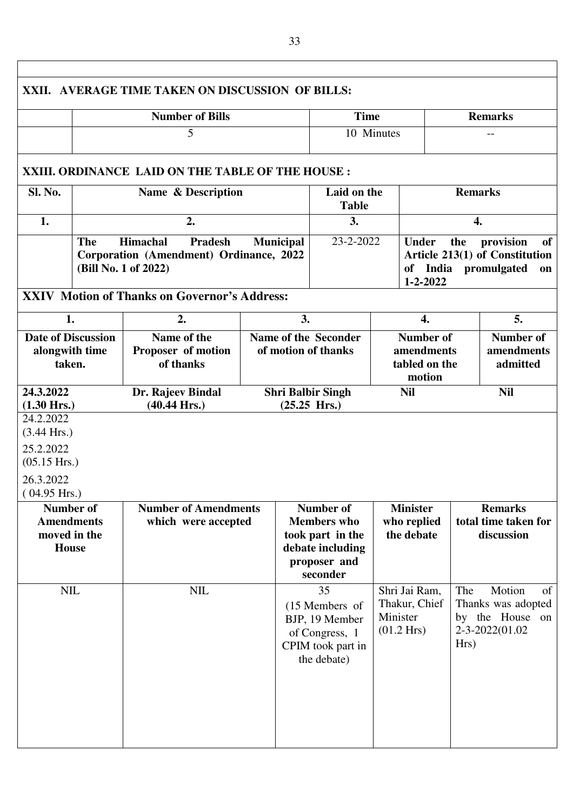|                                                                                                  |                                                                                                                                                                                        | XXII. AVERAGE TIME TAKEN ON DISCUSSION OF BILLS:   |                                                    |                                                                                                            |                                                                    |                                                                                                         |                                                                     |          |
|--------------------------------------------------------------------------------------------------|----------------------------------------------------------------------------------------------------------------------------------------------------------------------------------------|----------------------------------------------------|----------------------------------------------------|------------------------------------------------------------------------------------------------------------|--------------------------------------------------------------------|---------------------------------------------------------------------------------------------------------|---------------------------------------------------------------------|----------|
|                                                                                                  |                                                                                                                                                                                        | <b>Number of Bills</b>                             |                                                    | <b>Time</b>                                                                                                |                                                                    |                                                                                                         | <b>Remarks</b>                                                      |          |
|                                                                                                  |                                                                                                                                                                                        | 5                                                  |                                                    |                                                                                                            | 10 Minutes                                                         |                                                                                                         | $-$                                                                 |          |
|                                                                                                  |                                                                                                                                                                                        | XXIII. ORDINANCE LAID ON THE TABLE OF THE HOUSE:   |                                                    |                                                                                                            |                                                                    |                                                                                                         |                                                                     |          |
| Sl. No.                                                                                          |                                                                                                                                                                                        | Name & Description                                 |                                                    | <b>Table</b>                                                                                               | Laid on the                                                        |                                                                                                         | <b>Remarks</b>                                                      |          |
| 1.                                                                                               |                                                                                                                                                                                        | 2.                                                 |                                                    | 3.                                                                                                         |                                                                    |                                                                                                         | $\overline{4}$ .                                                    |          |
|                                                                                                  | The<br><b>Himachal</b><br><b>Pradesh</b><br><b>Municipal</b><br>Corporation (Amendment) Ordinance, 2022<br>(Bill No. 1 of 2022)<br><b>XXIV Motion of Thanks on Governor's Address:</b> |                                                    |                                                    | 23-2-2022                                                                                                  | <b>Under</b>                                                       | the<br>$1 - 2 - 2022$                                                                                   | provision<br>Article 213(1) of Constitution<br>of India promulgated | of<br>on |
|                                                                                                  |                                                                                                                                                                                        |                                                    |                                                    |                                                                                                            |                                                                    |                                                                                                         |                                                                     |          |
| 1.                                                                                               |                                                                                                                                                                                        | 2.                                                 |                                                    | 3.                                                                                                         |                                                                    | $\overline{4}$ .                                                                                        | 5.                                                                  |          |
| <b>Date of Discussion</b><br>alongwith time<br>taken.                                            |                                                                                                                                                                                        | Name of the<br>Proposer of motion<br>of thanks     |                                                    | <b>Name of the Seconder</b><br>of motion of thanks                                                         |                                                                    | <b>Number of</b><br><b>Number of</b><br>amendments<br>amendments<br>tabled on the<br>admitted<br>motion |                                                                     |          |
| 24.3.2022<br>$(1.30 \text{ Hrs.})$                                                               |                                                                                                                                                                                        | Dr. Rajeev Bindal<br>$(40.44 \text{ Hrs.})$        | <b>Shri Balbir Singh</b><br>$(25.25 \text{ Hrs.})$ |                                                                                                            | <b>Nil</b>                                                         |                                                                                                         | <b>Nil</b>                                                          |          |
| 24.2.2022<br>$(3.44 \text{ Hrs.})$<br>25.2.2022<br>$(05.15$ Hrs.)<br>26.3.2022<br>$(04.95$ Hrs.) |                                                                                                                                                                                        |                                                    |                                                    |                                                                                                            |                                                                    |                                                                                                         |                                                                     |          |
| Number of<br><b>Amendments</b><br>moved in the<br><b>House</b>                                   |                                                                                                                                                                                        | <b>Number of Amendments</b><br>which were accepted |                                                    | <b>Number of</b><br><b>Members</b> who<br>took part in the<br>debate including<br>proposer and<br>seconder | <b>Minister</b><br>who replied<br>the debate                       |                                                                                                         | <b>Remarks</b><br>total time taken for<br>discussion                |          |
| <b>NIL</b>                                                                                       |                                                                                                                                                                                        | <b>NIL</b>                                         |                                                    | 35<br>(15 Members of<br>BJP, 19 Member<br>of Congress, 1<br>CPIM took part in<br>the debate)               | Shri Jai Ram,<br>Thakur, Chief<br>Minister<br>$(01.2 \text{ Hrs})$ | The<br>Hrs)                                                                                             | Motion<br>Thanks was adopted<br>by the House on<br>2-3-2022(01.02   | of       |